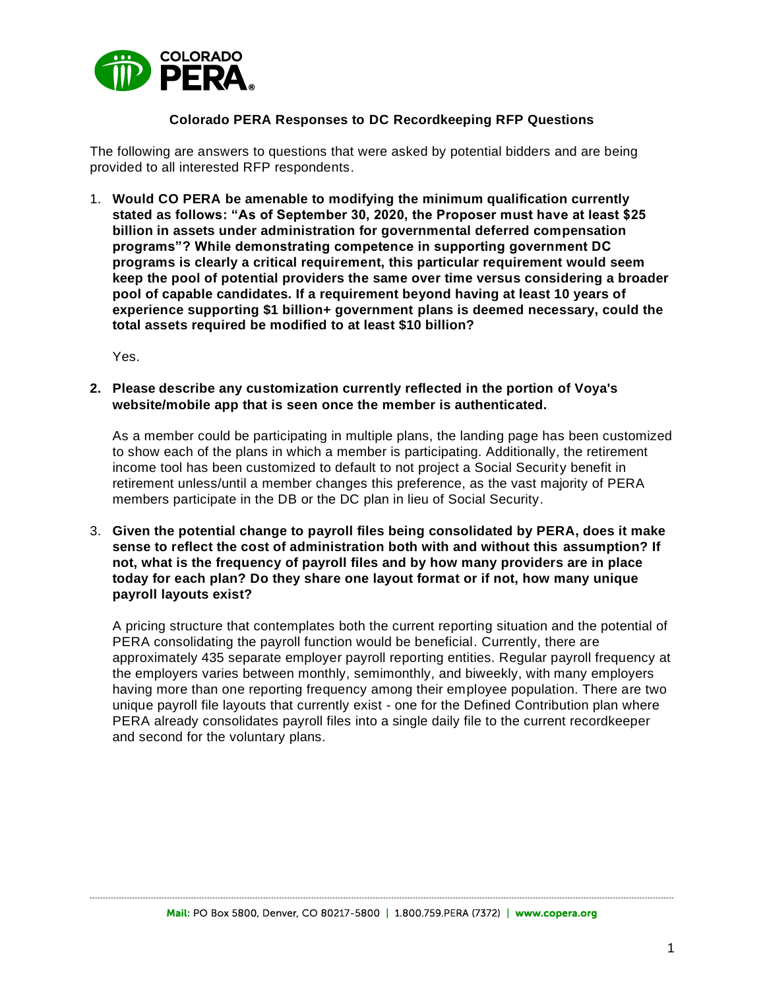

### **Colorado PERA Responses to DC Recordkeeping RFP Questions**

The following are answers to questions that were asked by potential bidders and are being provided to all interested RFP respondents.

1. **Would CO PERA be amenable to modifying the minimum qualification currently stated as follows: "As of September 30, 2020, the Proposer must have at least \$25 billion in assets under administration for governmental deferred compensation programs"? While demonstrating competence in supporting government DC programs is clearly a critical requirement, this particular requirement would seem keep the pool of potential providers the same over time versus considering a broader pool of capable candidates. If a requirement beyond having at least 10 years of experience supporting \$1 billion+ government plans is deemed necessary, could the total assets required be modified to at least \$10 billion?**

Yes.

**2. Please describe any customization currently reflected in the portion of Voya's website/mobile app that is seen once the member is authenticated.** 

As a member could be participating in multiple plans, the landing page has been customized to show each of the plans in which a member is participating. Additionally, the retirement income tool has been customized to default to not project a Social Security benefit in retirement unless/until a member changes this preference, as the vast majority of PERA members participate in the DB or the DC plan in lieu of Social Security.

3. **Given the potential change to payroll files being consolidated by PERA, does it make sense to reflect the cost of administration both with and without this assumption? If not, what is the frequency of payroll files and by how many providers are in place today for each plan? Do they share one layout format or if not, how many unique payroll layouts exist?**

A pricing structure that contemplates both the current reporting situation and the potential of PERA consolidating the payroll function would be beneficial. Currently, there are approximately 435 separate employer payroll reporting entities. Regular payroll frequency at the employers varies between monthly, semimonthly, and biweekly, with many employers having more than one reporting frequency among their employee population. There are two unique payroll file layouts that currently exist - one for the Defined Contribution plan where PERA already consolidates payroll files into a single daily file to the current recordkeeper and second for the voluntary plans.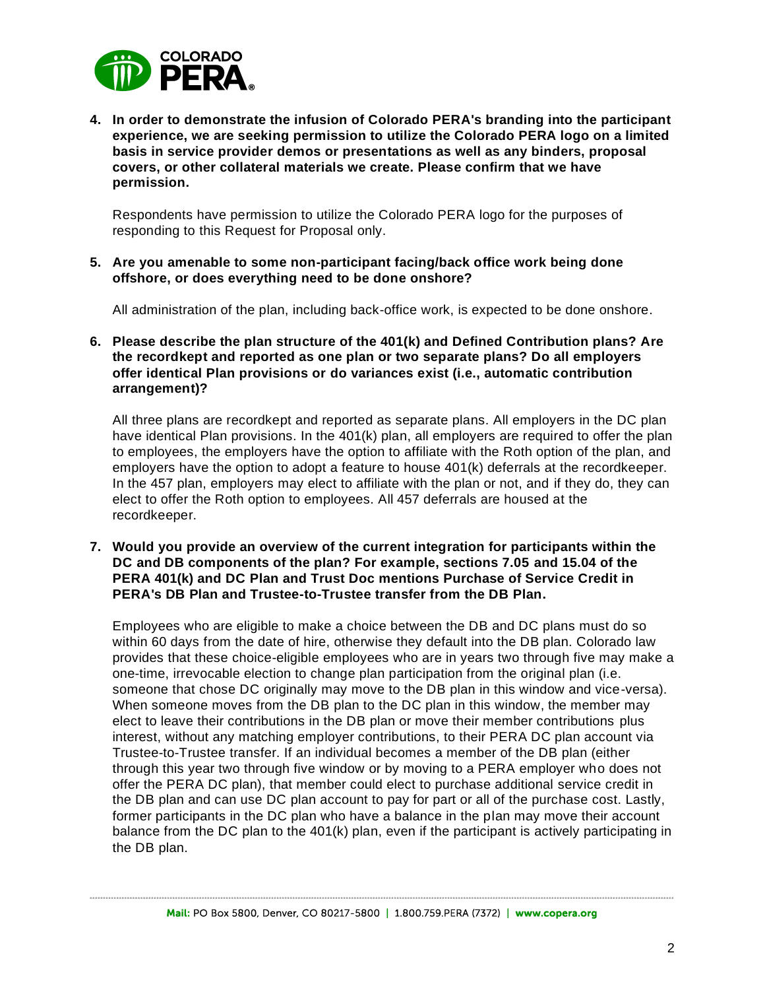

**4. In order to demonstrate the infusion of Colorado PERA's branding into the participant experience, we are seeking permission to utilize the Colorado PERA logo on a limited basis in service provider demos or presentations as well as any binders, proposal covers, or other collateral materials we create. Please confirm that we have permission.**

Respondents have permission to utilize the Colorado PERA logo for the purposes of responding to this Request for Proposal only.

**5. Are you amenable to some non-participant facing/back office work being done offshore, or does everything need to be done onshore?** 

All administration of the plan, including back-office work, is expected to be done onshore.

**6. Please describe the plan structure of the 401(k) and Defined Contribution plans? Are the recordkept and reported as one plan or two separate plans? Do all employers offer identical Plan provisions or do variances exist (i.e., automatic contribution arrangement)?** 

All three plans are recordkept and reported as separate plans. All employers in the DC plan have identical Plan provisions. In the 401(k) plan, all employers are required to offer the plan to employees, the employers have the option to affiliate with the Roth option of the plan, and employers have the option to adopt a feature to house 401(k) deferrals at the recordkeeper. In the 457 plan, employers may elect to affiliate with the plan or not, and if they do, they can elect to offer the Roth option to employees. All 457 deferrals are housed at the recordkeeper.

**7. Would you provide an overview of the current integration for participants within the DC and DB components of the plan? For example, sections 7.05 and 15.04 of the PERA 401(k) and DC Plan and Trust Doc mentions Purchase of Service Credit in PERA's DB Plan and Trustee-to-Trustee transfer from the DB Plan.**

Employees who are eligible to make a choice between the DB and DC plans must do so within 60 days from the date of hire, otherwise they default into the DB plan. Colorado law provides that these choice-eligible employees who are in years two through five may make a one-time, irrevocable election to change plan participation from the original plan (i.e. someone that chose DC originally may move to the DB plan in this window and vice-versa). When someone moves from the DB plan to the DC plan in this window, the member may elect to leave their contributions in the DB plan or move their member contributions plus interest, without any matching employer contributions, to their PERA DC plan account via Trustee-to-Trustee transfer. If an individual becomes a member of the DB plan (either through this year two through five window or by moving to a PERA employer who does not offer the PERA DC plan), that member could elect to purchase additional service credit in the DB plan and can use DC plan account to pay for part or all of the purchase cost. Lastly, former participants in the DC plan who have a balance in the plan may move their account balance from the DC plan to the 401(k) plan, even if the participant is actively participating in the DB plan.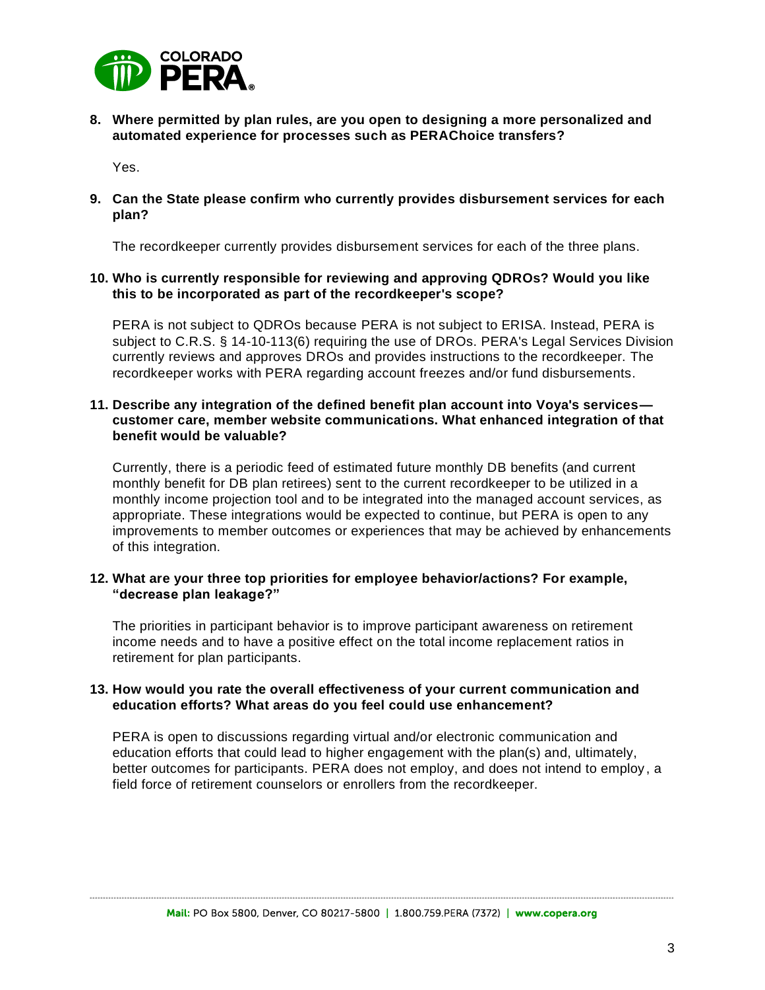

**8. Where permitted by plan rules, are you open to designing a more personalized and automated experience for processes such as PERAChoice transfers?**

Yes.

**9. Can the State please confirm who currently provides disbursement services for each plan?**

The recordkeeper currently provides disbursement services for each of the three plans.

### **10. Who is currently responsible for reviewing and approving QDROs? Would you like this to be incorporated as part of the recordkeeper's scope?**

PERA is not subject to QDROs because PERA is not subject to ERISA. Instead, PERA is subject to C.R.S. § 14-10-113(6) requiring the use of DROs. PERA's Legal Services Division currently reviews and approves DROs and provides instructions to the recordkeeper. The recordkeeper works with PERA regarding account freezes and/or fund disbursements.

#### **11. Describe any integration of the defined benefit plan account into Voya's services customer care, member website communications. What enhanced integration of that benefit would be valuable?**

Currently, there is a periodic feed of estimated future monthly DB benefits (and current monthly benefit for DB plan retirees) sent to the current recordkeeper to be utilized in a monthly income projection tool and to be integrated into the managed account services, as appropriate. These integrations would be expected to continue, but PERA is open to any improvements to member outcomes or experiences that may be achieved by enhancements of this integration.

#### **12. What are your three top priorities for employee behavior/actions? For example, "decrease plan leakage?"**

The priorities in participant behavior is to improve participant awareness on retirement income needs and to have a positive effect on the total income replacement ratios in retirement for plan participants.

#### **13. How would you rate the overall effectiveness of your current communication and education efforts? What areas do you feel could use enhancement?**

PERA is open to discussions regarding virtual and/or electronic communication and education efforts that could lead to higher engagement with the plan(s) and, ultimately, better outcomes for participants. PERA does not employ, and does not intend to employ , a field force of retirement counselors or enrollers from the recordkeeper.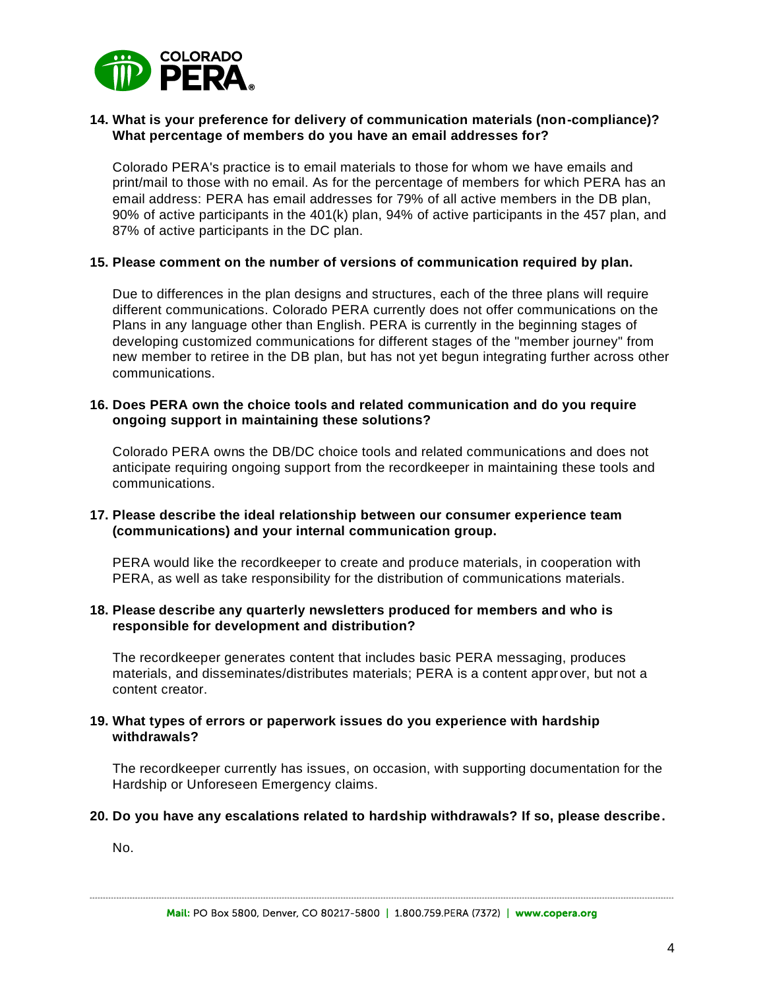

#### **14. What is your preference for delivery of communication materials (non-compliance)? What percentage of members do you have an email addresses for?**

Colorado PERA's practice is to email materials to those for whom we have emails and print/mail to those with no email. As for the percentage of members for which PERA has an email address: PERA has email addresses for 79% of all active members in the DB plan, 90% of active participants in the 401(k) plan, 94% of active participants in the 457 plan, and 87% of active participants in the DC plan.

#### **15. Please comment on the number of versions of communication required by plan.**

Due to differences in the plan designs and structures, each of the three plans will require different communications. Colorado PERA currently does not offer communications on the Plans in any language other than English. PERA is currently in the beginning stages of developing customized communications for different stages of the "member journey" from new member to retiree in the DB plan, but has not yet begun integrating further across other communications.

#### **16. Does PERA own the choice tools and related communication and do you require ongoing support in maintaining these solutions?**

Colorado PERA owns the DB/DC choice tools and related communications and does not anticipate requiring ongoing support from the recordkeeper in maintaining these tools and communications.

#### **17. Please describe the ideal relationship between our consumer experience team (communications) and your internal communication group.**

PERA would like the recordkeeper to create and produce materials, in cooperation with PERA, as well as take responsibility for the distribution of communications materials.

#### **18. Please describe any quarterly newsletters produced for members and who is responsible for development and distribution?**

The recordkeeper generates content that includes basic PERA messaging, produces materials, and disseminates/distributes materials; PERA is a content approver, but not a content creator.

#### **19. What types of errors or paperwork issues do you experience with hardship withdrawals?**

The recordkeeper currently has issues, on occasion, with supporting documentation for the Hardship or Unforeseen Emergency claims.

#### **20. Do you have any escalations related to hardship withdrawals? If so, please describe.**

No.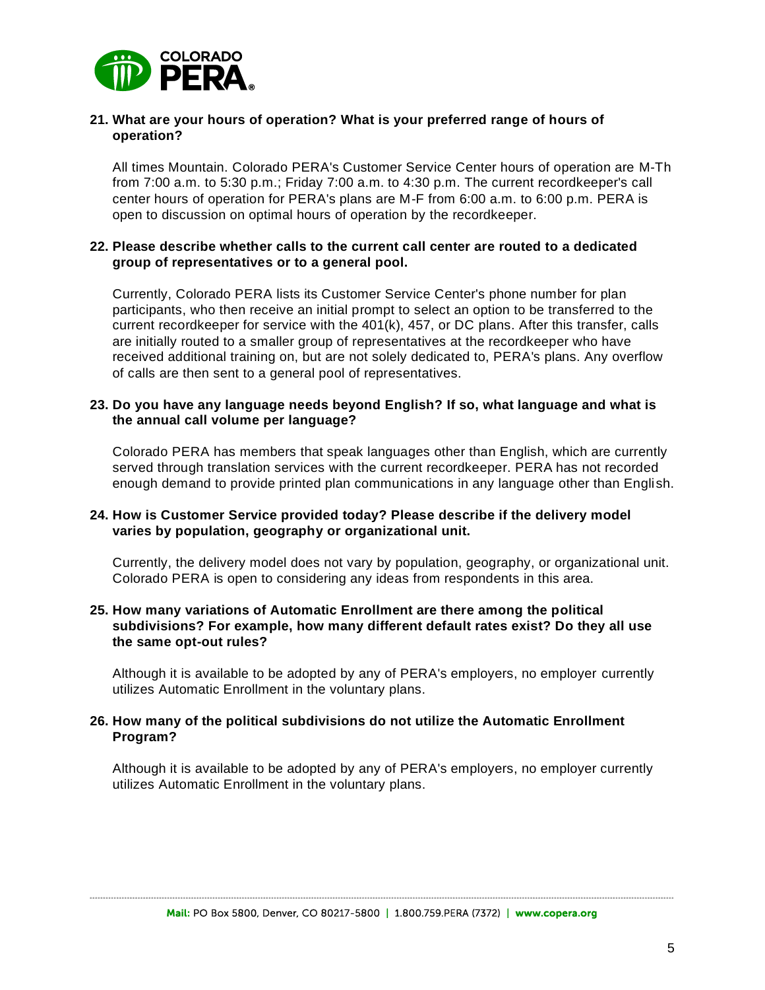

#### **21. What are your hours of operation? What is your preferred range of hours of operation?**

All times Mountain. Colorado PERA's Customer Service Center hours of operation are M-Th from 7:00 a.m. to 5:30 p.m.; Friday 7:00 a.m. to 4:30 p.m. The current recordkeeper's call center hours of operation for PERA's plans are M-F from 6:00 a.m. to 6:00 p.m. PERA is open to discussion on optimal hours of operation by the recordkeeper.

#### **22. Please describe whether calls to the current call center are routed to a dedicated group of representatives or to a general pool.**

Currently, Colorado PERA lists its Customer Service Center's phone number for plan participants, who then receive an initial prompt to select an option to be transferred to the current recordkeeper for service with the 401(k), 457, or DC plans. After this transfer, calls are initially routed to a smaller group of representatives at the recordkeeper who have received additional training on, but are not solely dedicated to, PERA's plans. Any overflow of calls are then sent to a general pool of representatives.

#### **23. Do you have any language needs beyond English? If so, what language and what is the annual call volume per language?**

Colorado PERA has members that speak languages other than English, which are currently served through translation services with the current recordkeeper. PERA has not recorded enough demand to provide printed plan communications in any language other than English.

#### **24. How is Customer Service provided today? Please describe if the delivery model varies by population, geography or organizational unit.**

Currently, the delivery model does not vary by population, geography, or organizational unit. Colorado PERA is open to considering any ideas from respondents in this area.

#### **25. How many variations of Automatic Enrollment are there among the political subdivisions? For example, how many different default rates exist? Do they all use the same opt-out rules?**

Although it is available to be adopted by any of PERA's employers, no employer currently utilizes Automatic Enrollment in the voluntary plans.

#### **26. How many of the political subdivisions do not utilize the Automatic Enrollment Program?**

Although it is available to be adopted by any of PERA's employers, no employer currently utilizes Automatic Enrollment in the voluntary plans.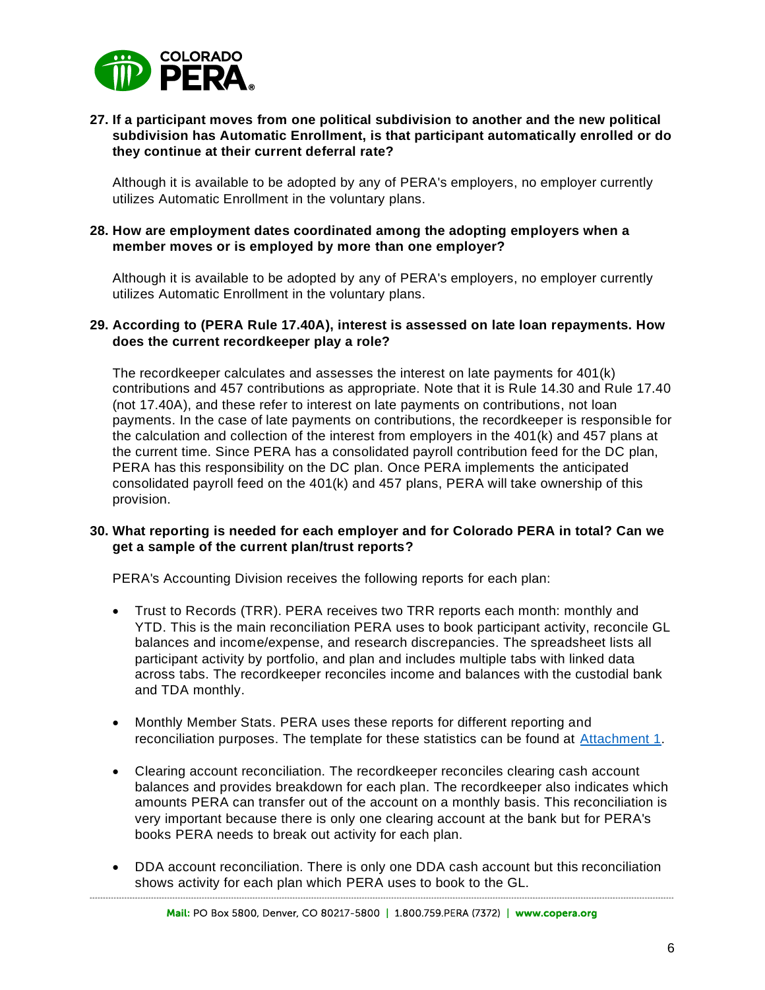

### **27. If a participant moves from one political subdivision to another and the new political subdivision has Automatic Enrollment, is that participant automatically enrolled or do they continue at their current deferral rate?**

Although it is available to be adopted by any of PERA's employers, no employer currently utilizes Automatic Enrollment in the voluntary plans.

#### **28. How are employment dates coordinated among the adopting employers when a member moves or is employed by more than one employer?**

Although it is available to be adopted by any of PERA's employers, no employer currently utilizes Automatic Enrollment in the voluntary plans.

#### **29. According to (PERA Rule 17.40A), interest is assessed on late loan repayments. How does the current recordkeeper play a role?**

The recordkeeper calculates and assesses the interest on late payments for 401(k) contributions and 457 contributions as appropriate. Note that it is Rule 14.30 and Rule 17.40 (not 17.40A), and these refer to interest on late payments on contributions, not loan payments. In the case of late payments on contributions, the recordkeeper is responsible for the calculation and collection of the interest from employers in the 401(k) and 457 plans at the current time. Since PERA has a consolidated payroll contribution feed for the DC plan, PERA has this responsibility on the DC plan. Once PERA implements the anticipated consolidated payroll feed on the 401(k) and 457 plans, PERA will take ownership of this provision.

### **30. What reporting is needed for each employer and for Colorado PERA in total? Can we get a sample of the current plan/trust reports?**

PERA's Accounting Division receives the following reports for each plan:

- Trust to Records (TRR). PERA receives two TRR reports each month: monthly and YTD. This is the main reconciliation PERA uses to book participant activity, reconcile GL balances and income/expense, and research discrepancies. The spreadsheet lists all participant activity by portfolio, and plan and includes multiple tabs with linked data across tabs. The recordkeeper reconciles income and balances with the custodial bank and TDA monthly.
- Monthly Member Stats. PERA uses these reports for different reporting and reconciliation purposes. The template for these statistics can be found at [Attachment 1.](#page-10-0)
- Clearing account reconciliation. The recordkeeper reconciles clearing cash account balances and provides breakdown for each plan. The recordkeeper also indicates which amounts PERA can transfer out of the account on a monthly basis. This reconciliation is very important because there is only one clearing account at the bank but for PERA's books PERA needs to break out activity for each plan.
- DDA account reconciliation. There is only one DDA cash account but this reconciliation shows activity for each plan which PERA uses to book to the GL.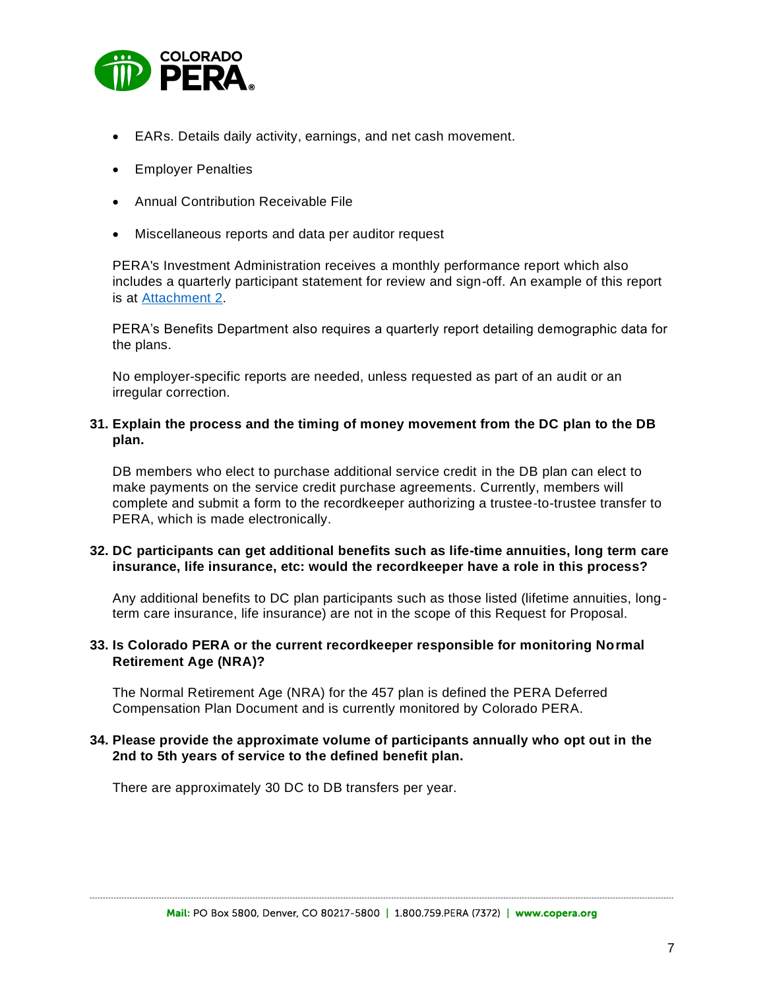

- EARs. Details daily activity, earnings, and net cash movement.
- Employer Penalties
- Annual Contribution Receivable File
- Miscellaneous reports and data per auditor request

PERA's Investment Administration receives a monthly performance report which also includes a quarterly participant statement for review and sign-off. An example of this report is at [Attachment 2.](#page-13-0)

PERA's Benefits Department also requires a quarterly report detailing demographic data for the plans.

No employer-specific reports are needed, unless requested as part of an audit or an irregular correction.

### **31. Explain the process and the timing of money movement from the DC plan to the DB plan.**

DB members who elect to purchase additional service credit in the DB plan can elect to make payments on the service credit purchase agreements. Currently, members will complete and submit a form to the recordkeeper authorizing a trustee-to-trustee transfer to PERA, which is made electronically.

### **32. DC participants can get additional benefits such as life-time annuities, long term care insurance, life insurance, etc: would the recordkeeper have a role in this process?**

Any additional benefits to DC plan participants such as those listed (lifetime annuities, longterm care insurance, life insurance) are not in the scope of this Request for Proposal.

#### **33. Is Colorado PERA or the current recordkeeper responsible for monitoring Normal Retirement Age (NRA)?**

The Normal Retirement Age (NRA) for the 457 plan is defined the PERA Deferred Compensation Plan Document and is currently monitored by Colorado PERA.

#### **34. Please provide the approximate volume of participants annually who opt out in the 2nd to 5th years of service to the defined benefit plan.**

There are approximately 30 DC to DB transfers per year.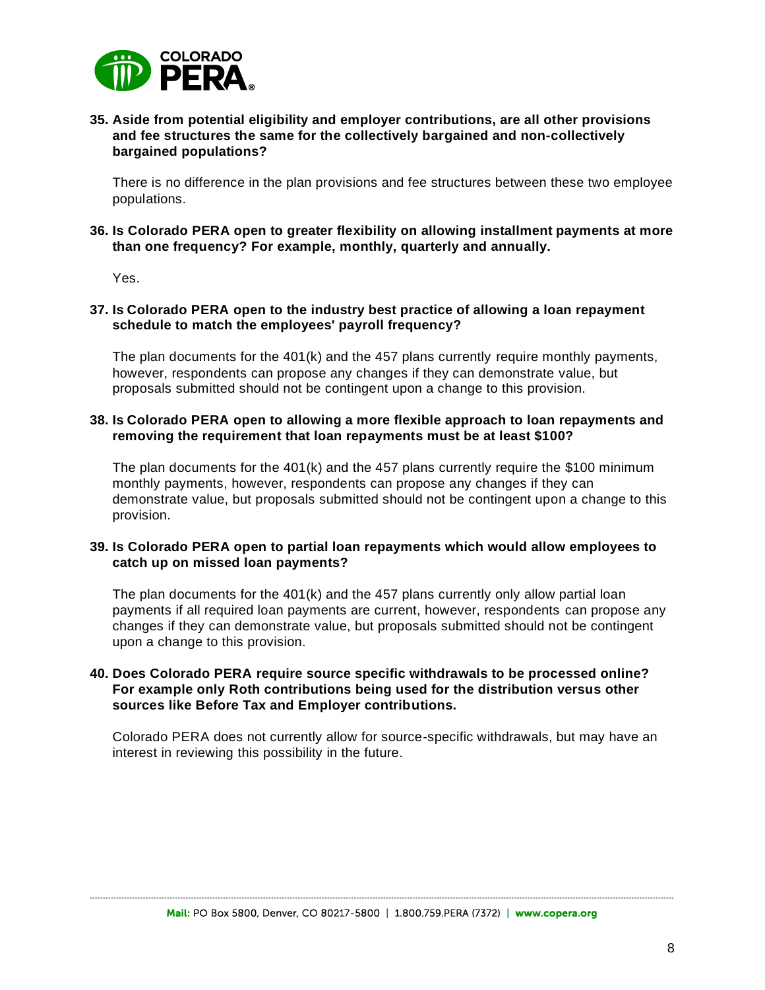

### **35. Aside from potential eligibility and employer contributions, are all other provisions and fee structures the same for the collectively bargained and non-collectively bargained populations?**

There is no difference in the plan provisions and fee structures between these two employee populations.

#### **36. Is Colorado PERA open to greater flexibility on allowing installment payments at more than one frequency? For example, monthly, quarterly and annually.**

Yes.

#### **37. Is Colorado PERA open to the industry best practice of allowing a loan repayment schedule to match the employees' payroll frequency?**

The plan documents for the 401(k) and the 457 plans currently require monthly payments, however, respondents can propose any changes if they can demonstrate value, but proposals submitted should not be contingent upon a change to this provision.

#### **38. Is Colorado PERA open to allowing a more flexible approach to loan repayments and removing the requirement that loan repayments must be at least \$100?**

The plan documents for the  $401(k)$  and the 457 plans currently require the \$100 minimum monthly payments, however, respondents can propose any changes if they can demonstrate value, but proposals submitted should not be contingent upon a change to this provision.

### **39. Is Colorado PERA open to partial loan repayments which would allow employees to catch up on missed loan payments?**

The plan documents for the  $401(k)$  and the  $457$  plans currently only allow partial loan payments if all required loan payments are current, however, respondents can propose any changes if they can demonstrate value, but proposals submitted should not be contingent upon a change to this provision.

#### **40. Does Colorado PERA require source specific withdrawals to be processed online? For example only Roth contributions being used for the distribution versus other sources like Before Tax and Employer contributions.**

Colorado PERA does not currently allow for source-specific withdrawals, but may have an interest in reviewing this possibility in the future.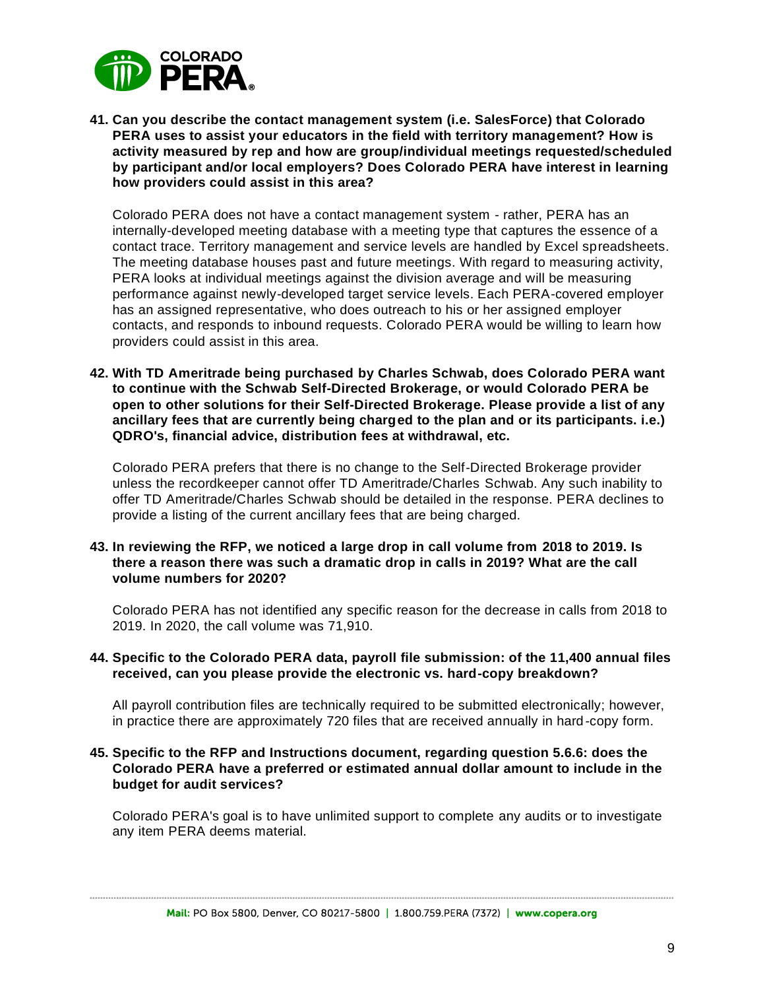

**41. Can you describe the contact management system (i.e. SalesForce) that Colorado PERA uses to assist your educators in the field with territory management? How is activity measured by rep and how are group/individual meetings requested/scheduled by participant and/or local employers? Does Colorado PERA have interest in learning how providers could assist in this area?**

Colorado PERA does not have a contact management system - rather, PERA has an internally-developed meeting database with a meeting type that captures the essence of a contact trace. Territory management and service levels are handled by Excel spreadsheets. The meeting database houses past and future meetings. With regard to measuring activity, PERA looks at individual meetings against the division average and will be measuring performance against newly-developed target service levels. Each PERA-covered employer has an assigned representative, who does outreach to his or her assigned employer contacts, and responds to inbound requests. Colorado PERA would be willing to learn how providers could assist in this area.

**42. With TD Ameritrade being purchased by Charles Schwab, does Colorado PERA want to continue with the Schwab Self-Directed Brokerage, or would Colorado PERA be open to other solutions for their Self-Directed Brokerage. Please provide a list of any ancillary fees that are currently being charged to the plan and or its participants. i.e.) QDRO's, financial advice, distribution fees at withdrawal, etc.**

Colorado PERA prefers that there is no change to the Self-Directed Brokerage provider unless the recordkeeper cannot offer TD Ameritrade/Charles Schwab. Any such inability to offer TD Ameritrade/Charles Schwab should be detailed in the response. PERA declines to provide a listing of the current ancillary fees that are being charged.

#### **43. In reviewing the RFP, we noticed a large drop in call volume from 2018 to 2019. Is there a reason there was such a dramatic drop in calls in 2019? What are the call volume numbers for 2020?**

Colorado PERA has not identified any specific reason for the decrease in calls from 2018 to 2019. In 2020, the call volume was 71,910.

#### **44. Specific to the Colorado PERA data, payroll file submission: of the 11,400 annual files received, can you please provide the electronic vs. hard-copy breakdown?**

All payroll contribution files are technically required to be submitted electronically; however, in practice there are approximately 720 files that are received annually in hard-copy form.

#### **45. Specific to the RFP and Instructions document, regarding question 5.6.6: does the Colorado PERA have a preferred or estimated annual dollar amount to include in the budget for audit services?**

Colorado PERA's goal is to have unlimited support to complete any audits or to investigate any item PERA deems material.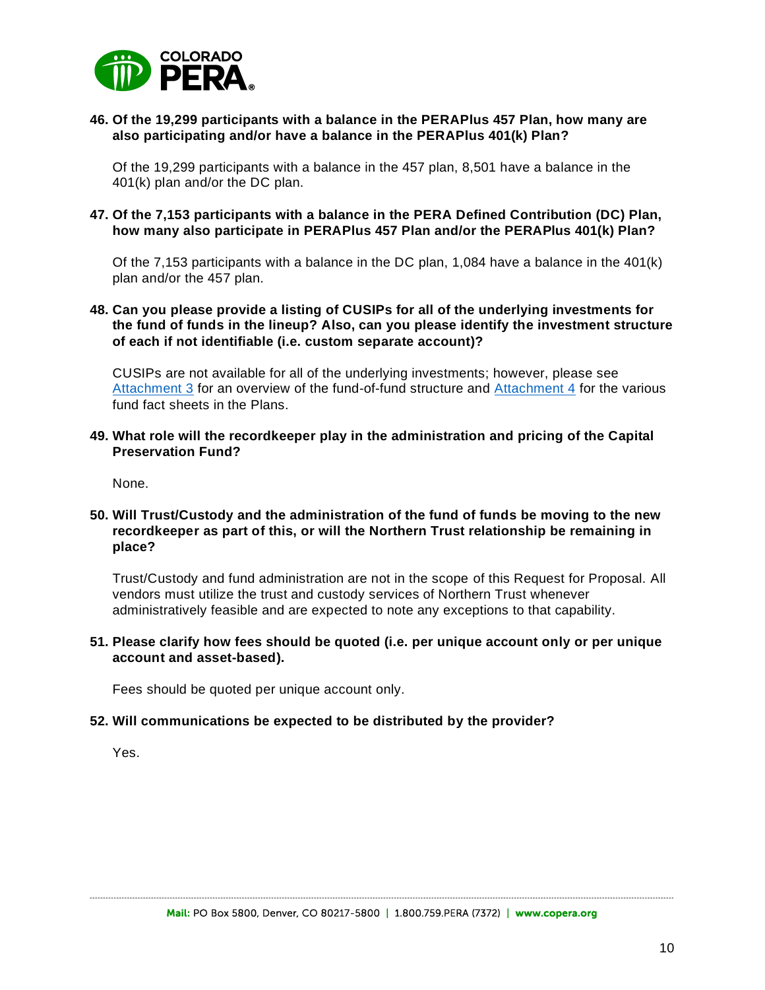

#### **46. Of the 19,299 participants with a balance in the PERAPlus 457 Plan, how many are also participating and/or have a balance in the PERAPlus 401(k) Plan?**

Of the 19,299 participants with a balance in the 457 plan, 8,501 have a balance in the 401(k) plan and/or the DC plan.

#### **47. Of the 7,153 participants with a balance in the PERA Defined Contribution (DC) Plan, how many also participate in PERAPlus 457 Plan and/or the PERAPlus 401(k) Plan?**

Of the 7,153 participants with a balance in the DC plan, 1,084 have a balance in the 401(k) plan and/or the 457 plan.

#### **48. Can you please provide a listing of CUSIPs for all of the underlying investments for the fund of funds in the lineup? Also, can you please identify the investment structure of each if not identifiable (i.e. custom separate account)?**

CUSIPs are not available for all of the underlying investments; however, please see [Attachment 3](#page-16-0) for an overview of the fund-of-fund structure and [Attachment 4](#page-17-0) for the various fund fact sheets in the Plans.

#### **49. What role will the recordkeeper play in the administration and pricing of the Capital Preservation Fund?**

None.

#### **50. Will Trust/Custody and the administration of the fund of funds be moving to the new recordkeeper as part of this, or will the Northern Trust relationship be remaining in place?**

Trust/Custody and fund administration are not in the scope of this Request for Proposal. All vendors must utilize the trust and custody services of Northern Trust whenever administratively feasible and are expected to note any exceptions to that capability.

#### **51. Please clarify how fees should be quoted (i.e. per unique account only or per unique account and asset-based).**

Fees should be quoted per unique account only.

#### **52. Will communications be expected to be distributed by the provider?**

Yes.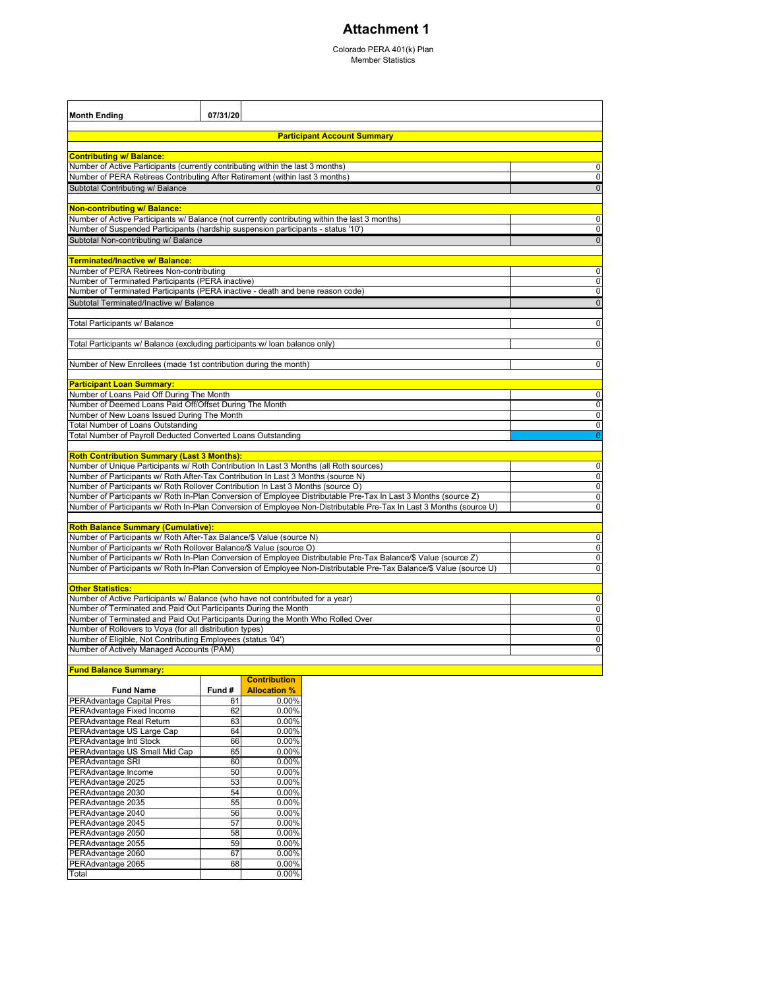### **Attachment 1**

Colorado PERA 401(k) Plan Member Statistics

<span id="page-10-0"></span>

| <b>Month Ending</b>                                                           | 07/31/20                                                                                                            |                |  |  |  |  |  |
|-------------------------------------------------------------------------------|---------------------------------------------------------------------------------------------------------------------|----------------|--|--|--|--|--|
| <b>Participant Account Summary</b>                                            |                                                                                                                     |                |  |  |  |  |  |
| <b>Contributing w/ Balance:</b>                                               |                                                                                                                     |                |  |  |  |  |  |
|                                                                               | Number of Active Participants (currently contributing within the last 3 months)                                     | 0              |  |  |  |  |  |
|                                                                               | Number of PERA Retirees Contributing After Retirement (within last 3 months)                                        | 0              |  |  |  |  |  |
| Subtotal Contributing w/ Balance                                              |                                                                                                                     | $\mathbf 0$    |  |  |  |  |  |
|                                                                               |                                                                                                                     |                |  |  |  |  |  |
| <b>Non-contributing w/ Balance:</b>                                           |                                                                                                                     |                |  |  |  |  |  |
|                                                                               | Number of Active Participants w/ Balance (not currently contributing within the last 3 months)                      | 0              |  |  |  |  |  |
|                                                                               | Number of Suspended Participants (hardship suspension participants - status '10")                                   | $\mathbf 0$    |  |  |  |  |  |
| Subtotal Non-contributing w/ Balance                                          |                                                                                                                     | $\overline{0}$ |  |  |  |  |  |
| Terminated/Inactive w/ Balance:                                               |                                                                                                                     |                |  |  |  |  |  |
| Number of PERA Retirees Non-contributing                                      |                                                                                                                     | $\mathbf 0$    |  |  |  |  |  |
| Number of Terminated Participants (PERA inactive)                             |                                                                                                                     | $\mathbf 0$    |  |  |  |  |  |
|                                                                               | Number of Terminated Participants (PERA inactive - death and bene reason code)                                      | 0              |  |  |  |  |  |
| Subtotal Terminated/Inactive w/ Balance                                       |                                                                                                                     | $\mathbf 0$    |  |  |  |  |  |
|                                                                               |                                                                                                                     |                |  |  |  |  |  |
| Total Participants w/ Balance                                                 |                                                                                                                     | 0              |  |  |  |  |  |
|                                                                               | Total Participants w/ Balance (excluding participants w/ Ioan balance only)                                         | $\mathbf 0$    |  |  |  |  |  |
|                                                                               |                                                                                                                     |                |  |  |  |  |  |
| Number of New Enrollees (made 1st contribution during the month)              |                                                                                                                     | $\mathbf 0$    |  |  |  |  |  |
|                                                                               |                                                                                                                     |                |  |  |  |  |  |
| <b>Participant Loan Summary:</b><br>Number of Loans Paid Off During The Month |                                                                                                                     | 0              |  |  |  |  |  |
| Number of Deemed Loans Paid Off/Offset During The Month                       |                                                                                                                     | $\mathbf 0$    |  |  |  |  |  |
| Number of New Loans Issued During The Month                                   |                                                                                                                     | 0              |  |  |  |  |  |
| <b>Total Number of Loans Outstanding</b>                                      |                                                                                                                     | 0              |  |  |  |  |  |
| Total Number of Payroll Deducted Converted Loans Outstanding                  |                                                                                                                     | $\overline{0}$ |  |  |  |  |  |
|                                                                               |                                                                                                                     |                |  |  |  |  |  |
| <b>Roth Contribution Summary (Last 3 Months):</b>                             |                                                                                                                     |                |  |  |  |  |  |
|                                                                               | Number of Unique Participants w/ Roth Contribution In Last 3 Months (all Roth sources)                              | 0              |  |  |  |  |  |
|                                                                               | Number of Participants w/ Roth After-Tax Contribution In Last 3 Months (source N)                                   | 0              |  |  |  |  |  |
|                                                                               | Number of Participants w/ Roth Rollover Contribution In Last 3 Months (source O)                                    | 0              |  |  |  |  |  |
|                                                                               | Number of Participants w/ Roth In-Plan Conversion of Employee Distributable Pre-Tax In Last 3 Months (source Z)     | $\mathbf 0$    |  |  |  |  |  |
|                                                                               | Number of Participants w/ Roth In-Plan Conversion of Employee Non-Distributable Pre-Tax In Last 3 Months (source U) | 0              |  |  |  |  |  |
| <b>Roth Balance Summary (Cumulative):</b>                                     |                                                                                                                     |                |  |  |  |  |  |
| Number of Participants w/ Roth After-Tax Balance/\$ Value (source N)          |                                                                                                                     | 0              |  |  |  |  |  |
| Number of Participants w/ Roth Rollover Balance/\$ Value (source O)           |                                                                                                                     | 0              |  |  |  |  |  |
|                                                                               | Number of Participants w/ Roth In-Plan Conversion of Employee Distributable Pre-Tax Balance/\$ Value (source Z)     | $\overline{0}$ |  |  |  |  |  |
|                                                                               | Number of Participants w/ Roth In-Plan Conversion of Employee Non-Distributable Pre-Tax Balance/\$ Value (source U) | $\mathbf 0$    |  |  |  |  |  |
| <b>Other Statistics:</b>                                                      |                                                                                                                     |                |  |  |  |  |  |
|                                                                               | Number of Active Participants w/ Balance (who have not contributed for a year)                                      | $\mathbf 0$    |  |  |  |  |  |
| Number of Terminated and Paid Out Participants During the Month               |                                                                                                                     | 0              |  |  |  |  |  |
|                                                                               | Number of Terminated and Paid Out Participants During the Month Who Rolled Over                                     | 0              |  |  |  |  |  |
| Number of Rollovers to Voya (for all distribution types)                      |                                                                                                                     | $\mathbf 0$    |  |  |  |  |  |
| Number of Eligible, Not Contributing Employees (status '04')                  |                                                                                                                     |                |  |  |  |  |  |
|                                                                               | Number of Actively Managed Accounts (PAM)                                                                           |                |  |  |  |  |  |
|                                                                               |                                                                                                                     | $\mathbf 0$    |  |  |  |  |  |
| <b>Fund Balance Summary:</b>                                                  |                                                                                                                     |                |  |  |  |  |  |

|                                  |                 | <b>Contribution</b> |
|----------------------------------|-----------------|---------------------|
| <b>Fund Name</b>                 | Fund #          | <b>Allocation %</b> |
| <b>PERAdvantage Capital Pres</b> | 61              | 0.00%               |
| PERAdvantage Fixed Income        | 62              | 0.00%               |
| PERAdvantage Real Return         | 63              | 0.00%               |
| PERAdvantage US Large Cap        | 64              | 0.00%               |
| PERAdvantage Intl Stock          | 66              | 0.00%               |
| PERAdvantage US Small Mid Cap    | 65              | 0.00%               |
| PERAdvantage SRI                 | 60              | 0.00%               |
| PERAdvantage Income              | $\overline{5}0$ | 0.00%               |
| PERAdvantage 2025                | 53              | 0.00%               |
| PERAdvantage 2030                | 54              | 0.00%               |
| PERAdvantage 2035                | 55              | 0.00%               |
| PERAdvantage 2040                | 56              | 0.00%               |
| PERAdvantage 2045                | 57              | 0.00%               |
| PERAdvantage 2050                | 58              | 0.00%               |
| PERAdvantage 2055                | 59              | 0.00%               |
| PERAdvantage 2060                | 67              | 0.00%               |
| PERAdvantage 2065                | 68              | 0.00%               |
| Total                            |                 | 0.00%               |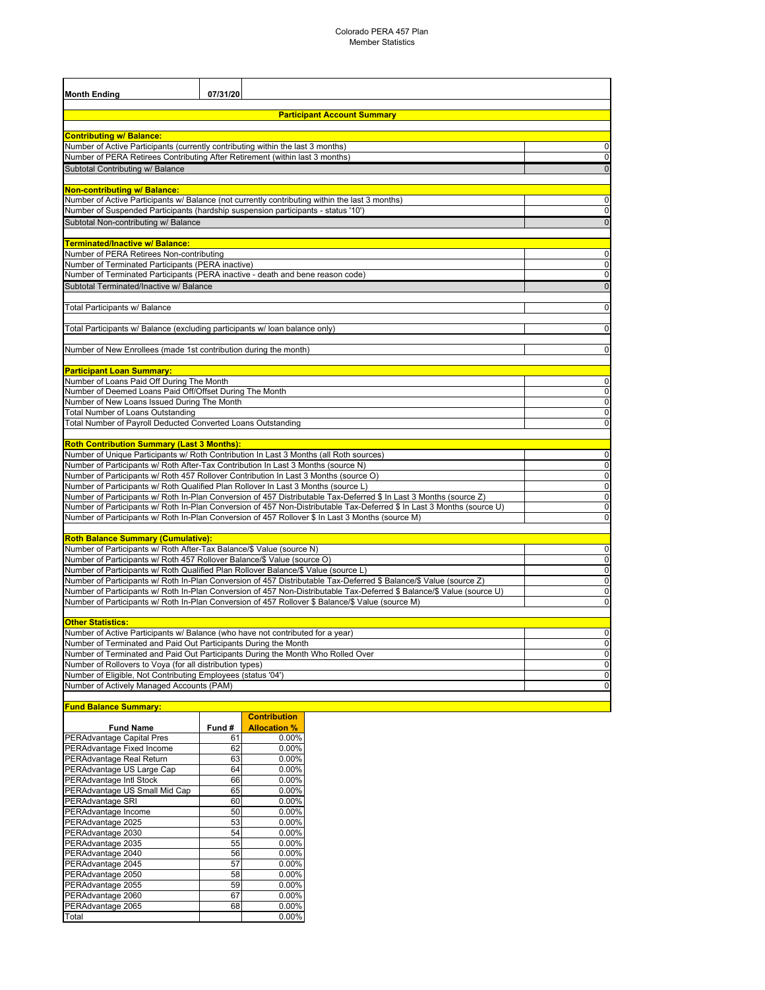| <b>Month Ending</b>                                                                                                                                | 07/31/20                                                                                                                 |                             |  |  |  |  |  |
|----------------------------------------------------------------------------------------------------------------------------------------------------|--------------------------------------------------------------------------------------------------------------------------|-----------------------------|--|--|--|--|--|
| <b>Participant Account Summary</b>                                                                                                                 |                                                                                                                          |                             |  |  |  |  |  |
|                                                                                                                                                    |                                                                                                                          |                             |  |  |  |  |  |
| <b>Contributing w/ Balance:</b>                                                                                                                    | Number of Active Participants (currently contributing within the last 3 months)                                          | $\mathbf 0$                 |  |  |  |  |  |
|                                                                                                                                                    | Number of PERA Retirees Contributing After Retirement (within last 3 months)                                             | $\mathbf{0}$                |  |  |  |  |  |
| Subtotal Contributing w/ Balance                                                                                                                   |                                                                                                                          | $\mathbf 0$                 |  |  |  |  |  |
|                                                                                                                                                    |                                                                                                                          |                             |  |  |  |  |  |
| <b>Non-contributing w/ Balance:</b>                                                                                                                |                                                                                                                          |                             |  |  |  |  |  |
|                                                                                                                                                    | Number of Active Participants w/ Balance (not currently contributing within the last 3 months)                           | $\mathbf{0}$                |  |  |  |  |  |
|                                                                                                                                                    | Number of Suspended Participants (hardship suspension participants - status '10')                                        | $\mathbf{0}$                |  |  |  |  |  |
| Subtotal Non-contributing w/ Balance                                                                                                               |                                                                                                                          | $\mathbf 0$                 |  |  |  |  |  |
|                                                                                                                                                    |                                                                                                                          |                             |  |  |  |  |  |
| Terminated/Inactive w/ Balance:                                                                                                                    |                                                                                                                          |                             |  |  |  |  |  |
| Number of PERA Retirees Non-contributing                                                                                                           |                                                                                                                          | $\mathbf{0}$                |  |  |  |  |  |
| Number of Terminated Participants (PERA inactive)                                                                                                  |                                                                                                                          | $\mathbf{0}$<br>$\mathbf 0$ |  |  |  |  |  |
|                                                                                                                                                    | Number of Terminated Participants (PERA inactive - death and bene reason code)                                           |                             |  |  |  |  |  |
| Subtotal Terminated/Inactive w/ Balance                                                                                                            |                                                                                                                          | $\overline{0}$              |  |  |  |  |  |
| Total Participants w/ Balance                                                                                                                      |                                                                                                                          | $\mathbf 0$                 |  |  |  |  |  |
|                                                                                                                                                    |                                                                                                                          |                             |  |  |  |  |  |
|                                                                                                                                                    | Total Participants w/ Balance (excluding participants w/ loan balance only)                                              | $\mathbf 0$                 |  |  |  |  |  |
|                                                                                                                                                    |                                                                                                                          |                             |  |  |  |  |  |
|                                                                                                                                                    | Number of New Enrollees (made 1st contribution during the month)                                                         | $\mathbf{0}$                |  |  |  |  |  |
|                                                                                                                                                    |                                                                                                                          |                             |  |  |  |  |  |
| <b>Participant Loan Summary:</b>                                                                                                                   |                                                                                                                          |                             |  |  |  |  |  |
| Number of Loans Paid Off During The Month                                                                                                          |                                                                                                                          | $\mathbf 0$                 |  |  |  |  |  |
| Number of New Loans Issued During The Month                                                                                                        | Number of Deemed Loans Paid Off/Offset During The Month                                                                  | $\mathbf 0$<br>$\mathbf 0$  |  |  |  |  |  |
| <b>Total Number of Loans Outstanding</b>                                                                                                           |                                                                                                                          | $\mathbf 0$                 |  |  |  |  |  |
|                                                                                                                                                    | Total Number of Payroll Deducted Converted Loans Outstanding                                                             | $\mathbf 0$                 |  |  |  |  |  |
|                                                                                                                                                    |                                                                                                                          |                             |  |  |  |  |  |
| <b>Roth Contribution Summary (Last 3 Months):</b>                                                                                                  |                                                                                                                          |                             |  |  |  |  |  |
|                                                                                                                                                    | Number of Unique Participants w/ Roth Contribution In Last 3 Months (all Roth sources)                                   | $\mathbf 0$                 |  |  |  |  |  |
|                                                                                                                                                    | Number of Participants w/ Roth After-Tax Contribution In Last 3 Months (source N)                                        | $\mathbf 0$                 |  |  |  |  |  |
|                                                                                                                                                    | Number of Participants w/ Roth 457 Rollover Contribution In Last 3 Months (source O)                                     | $\mathbf 0$                 |  |  |  |  |  |
|                                                                                                                                                    | Number of Participants w/ Roth Qualified Plan Rollover In Last 3 Months (source L)                                       | $\mathbf 0$                 |  |  |  |  |  |
|                                                                                                                                                    | Number of Participants w/ Roth In-Plan Conversion of 457 Distributable Tax-Deferred \$ In Last 3 Months (source Z)       | $\mathbf 0$                 |  |  |  |  |  |
|                                                                                                                                                    | Number of Participants w/ Roth In-Plan Conversion of 457 Non-Distributable Tax-Deferred \$ In Last 3 Months (source U)   | $\mathbf{0}$                |  |  |  |  |  |
|                                                                                                                                                    | Number of Participants w/ Roth In-Plan Conversion of 457 Rollover \$ In Last 3 Months (source M)                         | $\pmb{0}$                   |  |  |  |  |  |
| <b>Roth Balance Summary (Cumulative):</b>                                                                                                          |                                                                                                                          |                             |  |  |  |  |  |
|                                                                                                                                                    | Number of Participants w/ Roth After-Tax Balance/\$ Value (source N)                                                     | $\mathbf{0}$                |  |  |  |  |  |
|                                                                                                                                                    | Number of Participants w/ Roth 457 Rollover Balance/\$ Value (source O)                                                  | $\mathbf 0$                 |  |  |  |  |  |
| Number of Participants w/ Roth Qualified Plan Rollover Balance/\$ Value (source L)                                                                 |                                                                                                                          |                             |  |  |  |  |  |
|                                                                                                                                                    | Number of Participants w/ Roth In-Plan Conversion of 457 Distributable Tax-Deferred \$ Balance/\$ Value (source Z)       | $\mathbf 0$                 |  |  |  |  |  |
|                                                                                                                                                    | Number of Participants w/ Roth In-Plan Conversion of 457 Non-Distributable Tax-Deferred \$ Balance/\$ Value (source U)   |                             |  |  |  |  |  |
|                                                                                                                                                    | Number of Participants w/ Roth In-Plan Conversion of 457 Rollover \$ Balance/\$ Value (source M)                         | $\mathbf 0$                 |  |  |  |  |  |
|                                                                                                                                                    |                                                                                                                          |                             |  |  |  |  |  |
| <b>Other Statistics:</b>                                                                                                                           |                                                                                                                          |                             |  |  |  |  |  |
|                                                                                                                                                    | Number of Active Participants w/ Balance (who have not contributed for a year)                                           | $\mathbf 0$<br>$\mathbf 0$  |  |  |  |  |  |
| Number of Terminated and Paid Out Participants During the Month<br>Number of Terminated and Paid Out Participants During the Month Who Rolled Over |                                                                                                                          |                             |  |  |  |  |  |
|                                                                                                                                                    |                                                                                                                          | $\mathbf 0$<br>$\mathbf 0$  |  |  |  |  |  |
|                                                                                                                                                    | Number of Rollovers to Voya (for all distribution types)<br>Number of Eligible, Not Contributing Employees (status '04') |                             |  |  |  |  |  |
| Number of Actively Managed Accounts (PAM)                                                                                                          |                                                                                                                          | $\mathbf 0$<br>$\mathbf 0$  |  |  |  |  |  |
|                                                                                                                                                    |                                                                                                                          |                             |  |  |  |  |  |

#### **Fund Balance Summary:**

|                                  |        | <b>Contribution</b> |
|----------------------------------|--------|---------------------|
| <b>Fund Name</b>                 | Fund # | <b>Allocation %</b> |
| <b>PERAdvantage Capital Pres</b> | 61     | $0.00\%$            |
| PERAdvantage Fixed Income        | 62     | 0.00%               |
| PERAdvantage Real Return         | 63     | 0.00%               |
| PERAdvantage US Large Cap        | 64     | 0.00%               |
| PERAdvantage Intl Stock          | 66     | 0.00%               |
| PERAdvantage US Small Mid Cap    | 65     | $0.00\%$            |
| PERAdvantage SRI                 | 60     | 0.00%               |
| PERAdvantage Income              | 50     | 0.00%               |
| PERAdvantage 2025                | 53     | 0.00%               |
| PERAdvantage 2030                | 54     | 0.00%               |
| PERAdvantage 2035                | 55     | 0.00%               |
| PERAdvantage 2040                | 56     | 0.00%               |
| PERAdvantage 2045                | 57     | 0.00%               |
| PERAdvantage 2050                | 58     | 0.00%               |
| PERAdvantage 2055                | 59     | 0.00%               |
| PERAdvantage 2060                | 67     | 0.00%               |
| PERAdvantage 2065                | 68     | 0.00%               |
| Total                            |        | 0.00%               |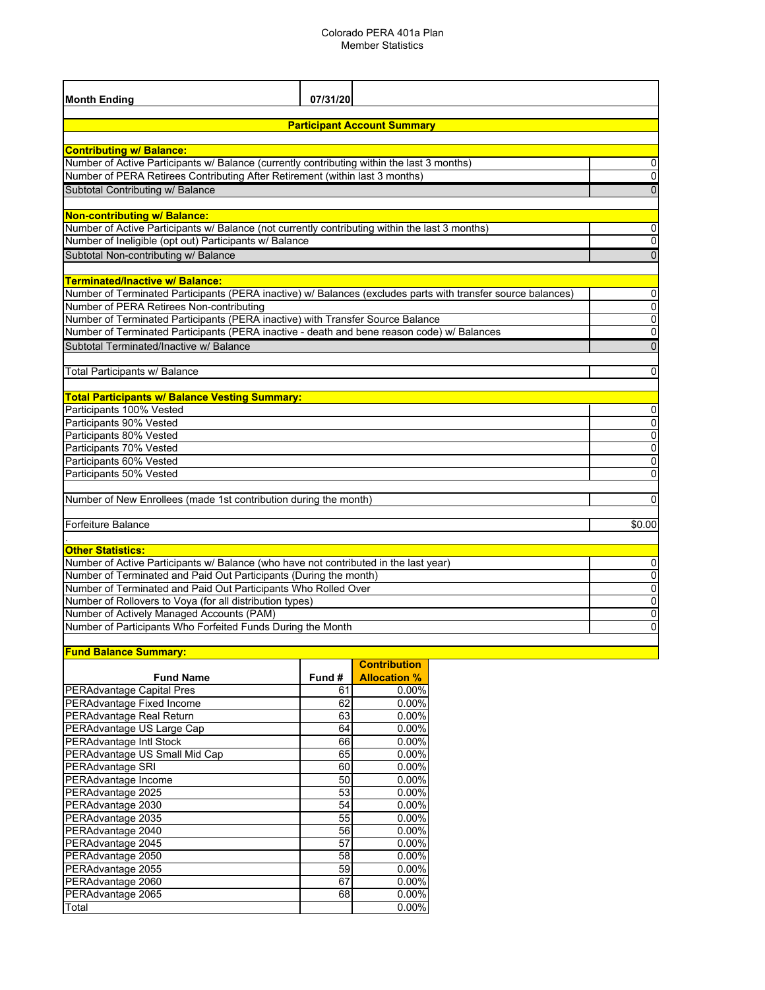#### Colorado PERA 401a Plan Member Statistics

| 07/31/20<br><b>Month Ending</b><br><b>Participant Account Summary</b><br><b>Contributing w/ Balance:</b><br>Number of Active Participants w/ Balance (currently contributing within the last 3 months)<br>0<br>Number of PERA Retirees Contributing After Retirement (within last 3 months)<br>$\mathbf{0}$<br>Subtotal Contributing w/ Balance<br>$\overline{0}$<br>Non-contributing w/ Balance:<br>Number of Active Participants w/ Balance (not currently contributing within the last 3 months)<br>0<br>Number of Ineligible (opt out) Participants w/ Balance<br>0<br>Subtotal Non-contributing w/ Balance<br>$\overline{0}$<br><b>Terminated/Inactive w/ Balance:</b> |
|-----------------------------------------------------------------------------------------------------------------------------------------------------------------------------------------------------------------------------------------------------------------------------------------------------------------------------------------------------------------------------------------------------------------------------------------------------------------------------------------------------------------------------------------------------------------------------------------------------------------------------------------------------------------------------|
|                                                                                                                                                                                                                                                                                                                                                                                                                                                                                                                                                                                                                                                                             |
|                                                                                                                                                                                                                                                                                                                                                                                                                                                                                                                                                                                                                                                                             |
|                                                                                                                                                                                                                                                                                                                                                                                                                                                                                                                                                                                                                                                                             |
|                                                                                                                                                                                                                                                                                                                                                                                                                                                                                                                                                                                                                                                                             |
|                                                                                                                                                                                                                                                                                                                                                                                                                                                                                                                                                                                                                                                                             |
|                                                                                                                                                                                                                                                                                                                                                                                                                                                                                                                                                                                                                                                                             |
|                                                                                                                                                                                                                                                                                                                                                                                                                                                                                                                                                                                                                                                                             |
|                                                                                                                                                                                                                                                                                                                                                                                                                                                                                                                                                                                                                                                                             |
|                                                                                                                                                                                                                                                                                                                                                                                                                                                                                                                                                                                                                                                                             |
|                                                                                                                                                                                                                                                                                                                                                                                                                                                                                                                                                                                                                                                                             |
|                                                                                                                                                                                                                                                                                                                                                                                                                                                                                                                                                                                                                                                                             |
|                                                                                                                                                                                                                                                                                                                                                                                                                                                                                                                                                                                                                                                                             |
|                                                                                                                                                                                                                                                                                                                                                                                                                                                                                                                                                                                                                                                                             |
|                                                                                                                                                                                                                                                                                                                                                                                                                                                                                                                                                                                                                                                                             |
|                                                                                                                                                                                                                                                                                                                                                                                                                                                                                                                                                                                                                                                                             |
| Number of Terminated Participants (PERA inactive) w/ Balances (excludes parts with transfer source balances)<br>0                                                                                                                                                                                                                                                                                                                                                                                                                                                                                                                                                           |
| $\overline{0}$<br>Number of PERA Retirees Non-contributing                                                                                                                                                                                                                                                                                                                                                                                                                                                                                                                                                                                                                  |
| 0<br>Number of Terminated Participants (PERA inactive) with Transfer Source Balance                                                                                                                                                                                                                                                                                                                                                                                                                                                                                                                                                                                         |
| Number of Terminated Participants (PERA inactive - death and bene reason code) w/ Balances<br>0                                                                                                                                                                                                                                                                                                                                                                                                                                                                                                                                                                             |
| Subtotal Terminated/Inactive w/ Balance<br>$\overline{0}$                                                                                                                                                                                                                                                                                                                                                                                                                                                                                                                                                                                                                   |
|                                                                                                                                                                                                                                                                                                                                                                                                                                                                                                                                                                                                                                                                             |
| Total Participants w/ Balance<br>$\Omega$                                                                                                                                                                                                                                                                                                                                                                                                                                                                                                                                                                                                                                   |
| <b>Total Participants w/ Balance Vesting Summary:</b>                                                                                                                                                                                                                                                                                                                                                                                                                                                                                                                                                                                                                       |
| Participants 100% Vested<br>$\pmb{0}$                                                                                                                                                                                                                                                                                                                                                                                                                                                                                                                                                                                                                                       |
| Participants 90% Vested<br>$\overline{0}$                                                                                                                                                                                                                                                                                                                                                                                                                                                                                                                                                                                                                                   |
| $\overline{0}$<br>Participants 80% Vested                                                                                                                                                                                                                                                                                                                                                                                                                                                                                                                                                                                                                                   |
| $\overline{0}$<br>Participants 70% Vested                                                                                                                                                                                                                                                                                                                                                                                                                                                                                                                                                                                                                                   |
| Participants 60% Vested<br>0                                                                                                                                                                                                                                                                                                                                                                                                                                                                                                                                                                                                                                                |
| $\mathbf 0$<br>Participants 50% Vested                                                                                                                                                                                                                                                                                                                                                                                                                                                                                                                                                                                                                                      |
|                                                                                                                                                                                                                                                                                                                                                                                                                                                                                                                                                                                                                                                                             |
| Number of New Enrollees (made 1st contribution during the month)<br>$\mathbf{0}$                                                                                                                                                                                                                                                                                                                                                                                                                                                                                                                                                                                            |
|                                                                                                                                                                                                                                                                                                                                                                                                                                                                                                                                                                                                                                                                             |
| Forfeiture Balance<br>\$0.00                                                                                                                                                                                                                                                                                                                                                                                                                                                                                                                                                                                                                                                |
|                                                                                                                                                                                                                                                                                                                                                                                                                                                                                                                                                                                                                                                                             |
| <b>Other Statistics:</b>                                                                                                                                                                                                                                                                                                                                                                                                                                                                                                                                                                                                                                                    |
| Number of Active Participants w/ Balance (who have not contributed in the last year)<br>0<br>Number of Terminated and Paid Out Participants (During the month)                                                                                                                                                                                                                                                                                                                                                                                                                                                                                                              |
| 0<br>0<br>Number of Terminated and Paid Out Participants Who Rolled Over                                                                                                                                                                                                                                                                                                                                                                                                                                                                                                                                                                                                    |
| Number of Rollovers to Voya (for all distribution types)<br>0                                                                                                                                                                                                                                                                                                                                                                                                                                                                                                                                                                                                               |
| 0<br>Number of Actively Managed Accounts (PAM)                                                                                                                                                                                                                                                                                                                                                                                                                                                                                                                                                                                                                              |
| Number of Participants Who Forfeited Funds During the Month<br>0                                                                                                                                                                                                                                                                                                                                                                                                                                                                                                                                                                                                            |
|                                                                                                                                                                                                                                                                                                                                                                                                                                                                                                                                                                                                                                                                             |
| <b>Fund Balance Summary:</b>                                                                                                                                                                                                                                                                                                                                                                                                                                                                                                                                                                                                                                                |

|                                  |       | <b>Contribution</b> |
|----------------------------------|-------|---------------------|
| <b>Fund Name</b>                 | Fund# | <b>Allocation %</b> |
| <b>PERAdvantage Capital Pres</b> | 61    | $0.00\%$            |
| PERAdvantage Fixed Income        | 62    | 0.00%               |
| PERAdvantage Real Return         | 63    | 0.00%               |
| PERAdvantage US Large Cap        | 64    | 0.00%               |
| <b>PERAdvantage Intl Stock</b>   | 66    | 0.00%               |
| PERAdvantage US Small Mid Cap    | 65    | $0.00\%$            |
| PERAdvantage SRI                 | 60    | $0.00\%$            |
| PERAdvantage Income              | 50    | 0.00%               |
| PERAdvantage 2025                | 53    | 0.00%               |
| PERAdvantage 2030                | 54    | 0.00%               |
| PERAdvantage 2035                | 55    | 0.00%               |
| PERAdvantage 2040                | 56    | 0.00%               |
| PERAdvantage 2045                | 57    | 0.00%               |
| PERAdvantage 2050                | 58    | 0.00%               |
| PERAdvantage 2055                | 59    | 0.00%               |
| PERAdvantage 2060                | 67    | 0.00%               |
| PERAdvantage 2065                | 68    | 0.00%               |
| Total                            |       | 0.00%               |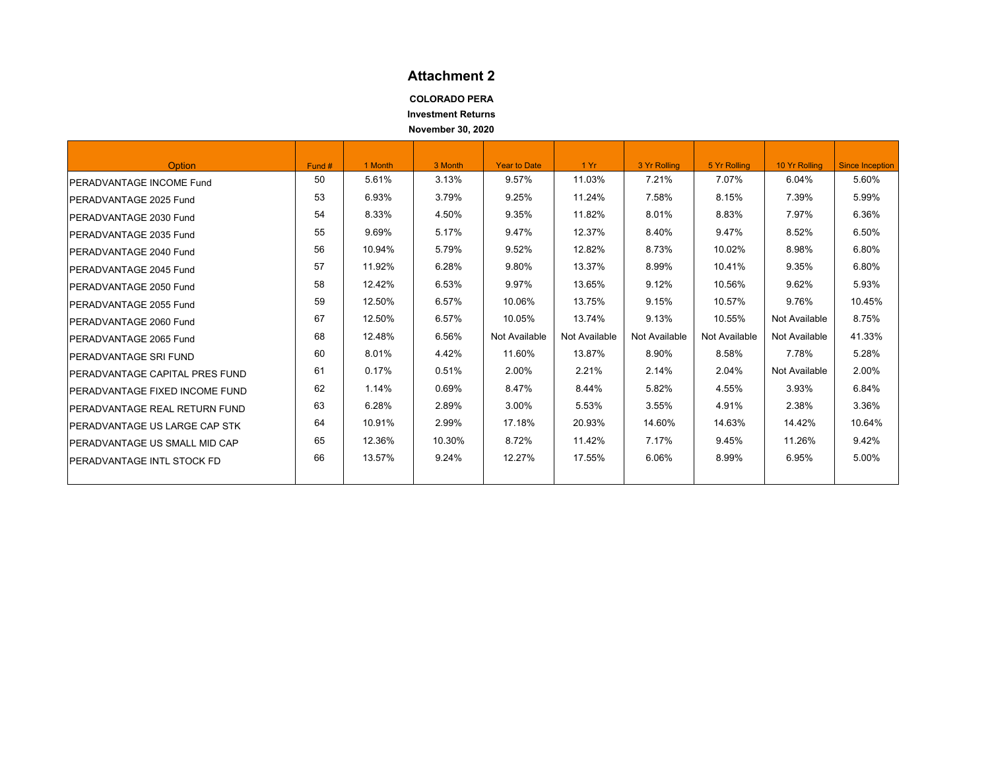### **Attachment 2**

**COLORADO PERA**

**Investment Returns**

**November 30, 2020**

<span id="page-13-0"></span>

| <b>Option</b>                          | Fund # | 1 Month | 3 Month | <b>Year to Date</b> | 1Yr           | 3 Yr Rolling  | 5 Yr Rolling  | 10 Yr Rolling | <b>Since Inception</b> |
|----------------------------------------|--------|---------|---------|---------------------|---------------|---------------|---------------|---------------|------------------------|
| <b>IPERADVANTAGE INCOME Fund</b>       | 50     | 5.61%   | 3.13%   | 9.57%               | 11.03%        | 7.21%         | 7.07%         | 6.04%         | 5.60%                  |
| PERADVANTAGE 2025 Fund                 | 53     | 6.93%   | 3.79%   | 9.25%               | 11.24%        | 7.58%         | 8.15%         | 7.39%         | 5.99%                  |
| PERADVANTAGE 2030 Fund                 | 54     | 8.33%   | 4.50%   | 9.35%               | 11.82%        | 8.01%         | 8.83%         | 7.97%         | 6.36%                  |
| IPERADVANTAGE 2035 Fund                | 55     | 9.69%   | 5.17%   | 9.47%               | 12.37%        | 8.40%         | 9.47%         | 8.52%         | 6.50%                  |
| IPERADVANTAGE 2040 Fund                | 56     | 10.94%  | 5.79%   | 9.52%               | 12.82%        | 8.73%         | 10.02%        | 8.98%         | 6.80%                  |
| PERADVANTAGE 2045 Fund                 | 57     | 11.92%  | 6.28%   | 9.80%               | 13.37%        | 8.99%         | 10.41%        | 9.35%         | 6.80%                  |
| <b>IPERADVANTAGE 2050 Fund</b>         | 58     | 12.42%  | 6.53%   | 9.97%               | 13.65%        | 9.12%         | 10.56%        | 9.62%         | 5.93%                  |
| PERADVANTAGE 2055 Fund                 | 59     | 12.50%  | 6.57%   | 10.06%              | 13.75%        | 9.15%         | 10.57%        | 9.76%         | 10.45%                 |
| PERADVANTAGE 2060 Fund                 | 67     | 12.50%  | 6.57%   | 10.05%              | 13.74%        | 9.13%         | 10.55%        | Not Available | 8.75%                  |
| IPERADVANTAGE 2065 Fund                | 68     | 12.48%  | 6.56%   | Not Available       | Not Available | Not Available | Not Available | Not Available | 41.33%                 |
| <b>PERADVANTAGE SRI FUND</b>           | 60     | 8.01%   | 4.42%   | 11.60%              | 13.87%        | 8.90%         | 8.58%         | 7.78%         | 5.28%                  |
| <b>IPERADVANTAGE CAPITAL PRES FUND</b> | 61     | 0.17%   | 0.51%   | 2.00%               | 2.21%         | 2.14%         | 2.04%         | Not Available | 2.00%                  |
| PERADVANTAGE FIXED INCOME FUND         | 62     | 1.14%   | 0.69%   | 8.47%               | 8.44%         | 5.82%         | 4.55%         | 3.93%         | 6.84%                  |
| <b>IPERADVANTAGE REAL RETURN FUND</b>  | 63     | 6.28%   | 2.89%   | 3.00%               | 5.53%         | 3.55%         | 4.91%         | 2.38%         | 3.36%                  |
| <b>IPERADVANTAGE US LARGE CAP STK</b>  | 64     | 10.91%  | 2.99%   | 17.18%              | 20.93%        | 14.60%        | 14.63%        | 14.42%        | 10.64%                 |
| <b>IPERADVANTAGE US SMALL MID CAP</b>  | 65     | 12.36%  | 10.30%  | 8.72%               | 11.42%        | 7.17%         | 9.45%         | 11.26%        | 9.42%                  |
| IPERADVANTAGE INTL STOCK FD            | 66     | 13.57%  | 9.24%   | 12.27%              | 17.55%        | 6.06%         | 8.99%         | 6.95%         | 5.00%                  |
|                                        |        |         |         |                     |               |               |               |               |                        |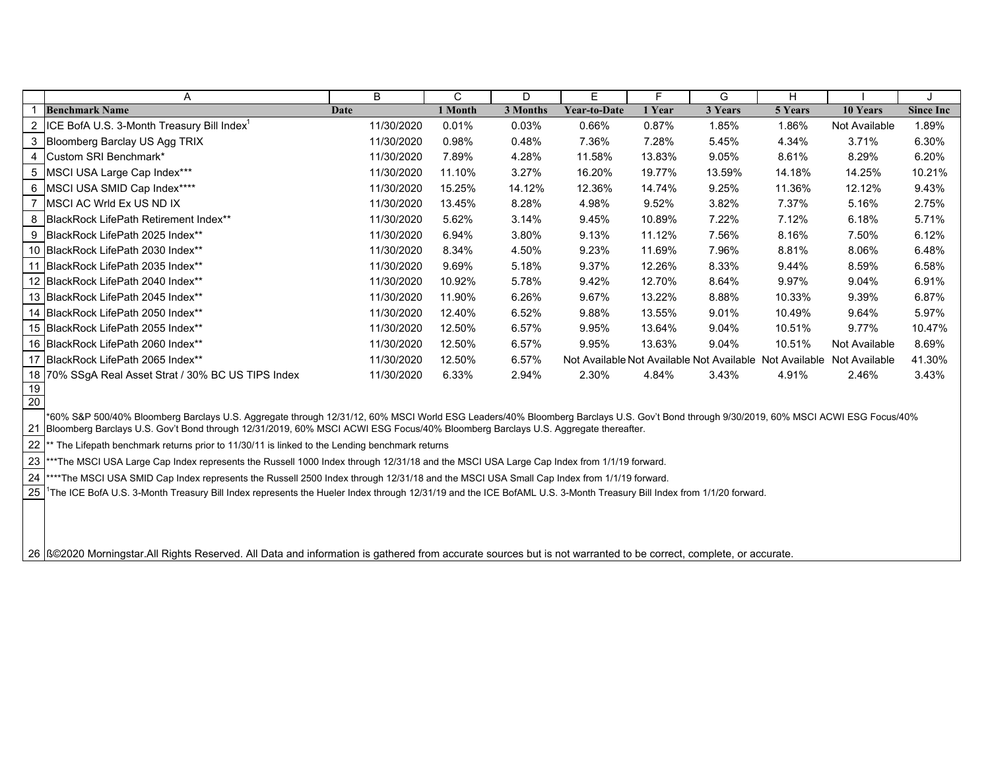|                 | A                                                            | B          | C       | D        | E.                  | F      | G       | н                                                       |               |                  |
|-----------------|--------------------------------------------------------------|------------|---------|----------|---------------------|--------|---------|---------------------------------------------------------|---------------|------------------|
|                 | <b>Benchmark Name</b>                                        | Date       | 1 Month | 3 Months | <b>Year-to-Date</b> | 1 Year | 3 Years | 5 Years                                                 | 10 Years      | <b>Since Inc</b> |
|                 | <b>ICE BofA U.S. 3-Month Treasury Bill Index<sup>1</sup></b> | 11/30/2020 | 0.01%   | 0.03%    | 0.66%               | 0.87%  | 1.85%   | 1.86%                                                   | Not Available | 1.89%            |
|                 | 3 Bloomberg Barclay US Agg TRIX                              | 11/30/2020 | 0.98%   | 0.48%    | 7.36%               | 7.28%  | 5.45%   | 4.34%                                                   | 3.71%         | 6.30%            |
|                 | 4 Custom SRI Benchmark*                                      | 11/30/2020 | 7.89%   | 4.28%    | 11.58%              | 13.83% | 9.05%   | 8.61%                                                   | 8.29%         | 6.20%            |
|                 | 5 MSCI USA Large Cap Index***                                | 11/30/2020 | 11.10%  | 3.27%    | 16.20%              | 19.77% | 13.59%  | 14.18%                                                  | 14.25%        | 10.21%           |
|                 | 6   MSCI USA SMID Cap Index****                              | 11/30/2020 | 15.25%  | 14.12%   | 12.36%              | 14.74% | 9.25%   | 11.36%                                                  | 12.12%        | 9.43%            |
|                 | MSCI AC Wrld Ex US ND IX                                     | 11/30/2020 | 13.45%  | 8.28%    | 4.98%               | 9.52%  | 3.82%   | 7.37%                                                   | 5.16%         | 2.75%            |
| 8               | BlackRock LifePath Retirement Index**                        | 11/30/2020 | 5.62%   | 3.14%    | 9.45%               | 10.89% | 7.22%   | 7.12%                                                   | 6.18%         | 5.71%            |
|                 | 9 BlackRock LifePath 2025 Index**                            | 11/30/2020 | 6.94%   | 3.80%    | 9.13%               | 11.12% | 7.56%   | 8.16%                                                   | 7.50%         | 6.12%            |
|                 | 10 BlackRock LifePath 2030 Index**                           | 11/30/2020 | 8.34%   | 4.50%    | 9.23%               | 11.69% | 7.96%   | 8.81%                                                   | 8.06%         | 6.48%            |
|                 | 11 BlackRock LifePath 2035 Index**                           | 11/30/2020 | 9.69%   | 5.18%    | 9.37%               | 12.26% | 8.33%   | 9.44%                                                   | 8.59%         | 6.58%            |
|                 | 12 BlackRock LifePath 2040 Index**                           | 11/30/2020 | 10.92%  | 5.78%    | 9.42%               | 12.70% | 8.64%   | 9.97%                                                   | 9.04%         | 6.91%            |
|                 | 13 BlackRock LifePath 2045 Index**                           | 11/30/2020 | 11.90%  | 6.26%    | 9.67%               | 13.22% | 8.88%   | 10.33%                                                  | 9.39%         | 6.87%            |
|                 | 14 BlackRock LifePath 2050 Index**                           | 11/30/2020 | 12.40%  | 6.52%    | 9.88%               | 13.55% | 9.01%   | 10.49%                                                  | 9.64%         | 5.97%            |
|                 | 15 BlackRock LifePath 2055 Index**                           | 11/30/2020 | 12.50%  | 6.57%    | 9.95%               | 13.64% | 9.04%   | 10.51%                                                  | 9.77%         | 10.47%           |
|                 | 16 BlackRock LifePath 2060 Index**                           | 11/30/2020 | 12.50%  | 6.57%    | 9.95%               | 13.63% | 9.04%   | 10.51%                                                  | Not Available | 8.69%            |
|                 | 17 BlackRock LifePath 2065 Index**                           | 11/30/2020 | 12.50%  | 6.57%    |                     |        |         | Not Available Not Available Not Available Not Available | Not Available | 41.30%           |
|                 | 18 70% SSgA Real Asset Strat / 30% BC US TIPS Index          | 11/30/2020 | 6.33%   | 2.94%    | 2.30%               | 4.84%  | 3.43%   | 4.91%                                                   | 2.46%         | 3.43%            |
| 19              |                                                              |            |         |          |                     |        |         |                                                         |               |                  |
| $\overline{20}$ |                                                              |            |         |          |                     |        |         |                                                         |               |                  |

21 Bloomberg Barclays U.S. Gov't Bond through 12/31/2019, 60% MSCI ACWI ESG Focus/40% Bloomberg Barclays U.S. Aggregate thereafter. \*60% S&P 500/40% Bloomberg Barclays U.S. Aggregate through 12/31/12, 60% MSCI World ESG Leaders/40% Bloomberg Barclays U.S. Gov't Bond through 9/30/2019, 60% MSCI ACWI ESG Focus/40%

22\* The Lifepath benchmark returns prior to 11/30/11 is linked to the Lending benchmark returns

23 \*\*\*The MSCI USA Large Cap Index represents the Russell 1000 Index through 12/31/18 and the MSCI USA Large Cap Index from 1/1/19 forward.

24\*\*\*\*The MSCI USA SMID Cap Index represents the Russell 2500 Index through 12/31/18 and the MSCI USA Small Cap Index from 1/1/19 forward.

25<sup>1</sup>The ICE BofA U.S. 3-Month Treasury Bill Index represents the Hueler Index through 12/31/19 and the ICE BofAML U.S. 3-Month Treasury Bill Index from 1/1/20 forward.

26 |ߩ2020 Morningstar.All Rights Reserved. All Data and information is gathered from accurate sources but is not warranted to be correct, complete, or accurate.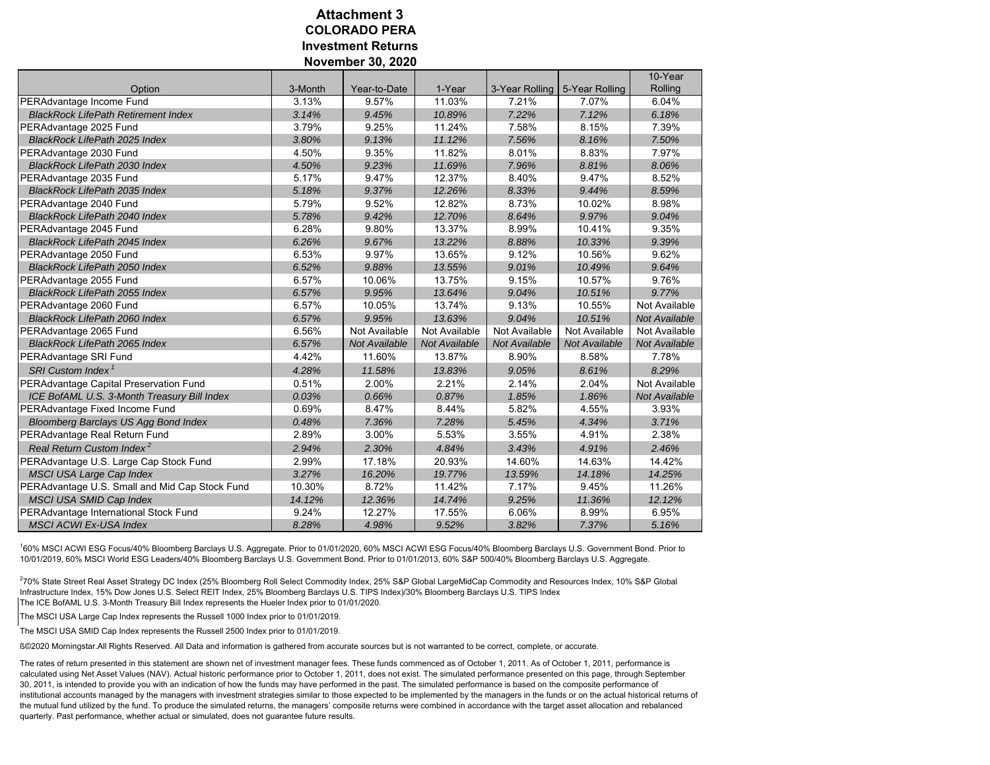#### **COLORADO PERAInvestment ReturnsNovember 30, 2020 Attachment 3**

|                                                |         |               |                      |                |                | 10-Year              |
|------------------------------------------------|---------|---------------|----------------------|----------------|----------------|----------------------|
| Option                                         | 3-Month | Year-to-Date  | 1-Year               | 3-Year Rolling | 5-Year Rolling | Rolling              |
| PERAdvantage Income Fund                       | 3.13%   | 9.57%         | 11.03%               | 7.21%          | 7.07%          | 6.04%                |
| <b>BlackRock LifePath Retirement Index</b>     | 3.14%   | 9.45%         | 10.89%               | 7.22%          | 7.12%          | 6.18%                |
| PERAdvantage 2025 Fund                         | 3.79%   | 9.25%         | 11.24%               | 7.58%          | 8.15%          | 7.39%                |
| <b>BlackRock LifePath 2025 Index</b>           | 3.80%   | 9.13%         | 11.12%               | 7.56%          | 8.16%          | 7.50%                |
| PERAdvantage 2030 Fund                         | 4.50%   | 9.35%         | 11.82%               | 8.01%          | 8.83%          | 7.97%                |
| <b>BlackRock LifePath 2030 Index</b>           | 4.50%   | 9.23%         | 11.69%               | 7.96%          | 8.81%          | 8.06%                |
| PERAdvantage 2035 Fund                         | 5.17%   | 9.47%         | 12.37%               | 8.40%          | 9.47%          | 8.52%                |
| <b>BlackRock LifePath 2035 Index</b>           | 5.18%   | 9.37%         | 12.26%               | 8.33%          | 9.44%          | 8.59%                |
| PERAdvantage 2040 Fund                         | 5.79%   | 9.52%         | 12.82%               | 8.73%          | 10.02%         | 8.98%                |
| <b>BlackRock LifePath 2040 Index</b>           | 5.78%   | 9.42%         | 12.70%               | 8.64%          | 9.97%          | 9.04%                |
| PERAdvantage 2045 Fund                         | 6.28%   | 9.80%         | 13.37%               | 8.99%          | 10.41%         | 9.35%                |
| <b>BlackRock LifePath 2045 Index</b>           | 6.26%   | 9.67%         | 13.22%               | 8.88%          | 10.33%         | 9.39%                |
| PERAdvantage 2050 Fund                         | 6.53%   | 9.97%         | 13.65%               | 9.12%          | 10.56%         | 9.62%                |
| <b>BlackRock LifePath 2050 Index</b>           | 6.52%   | 9.88%         | 13.55%               | 9.01%          | 10.49%         | 9.64%                |
| PERAdvantage 2055 Fund                         | 6.57%   | 10.06%        | 13.75%               | 9.15%          | 10.57%         | 9.76%                |
| <b>BlackRock LifePath 2055 Index</b>           | 6.57%   | 9.95%         | 13.64%               | 9.04%          | 10.51%         | 9.77%                |
| PERAdvantage 2060 Fund                         | 6.57%   | 10.05%        | 13.74%               | 9.13%          | 10.55%         | Not Available        |
| <b>BlackRock LifePath 2060 Index</b>           | 6.57%   | 9.95%         | 13.63%               | 9.04%          | 10.51%         | <b>Not Available</b> |
| PERAdvantage 2065 Fund                         | 6.56%   | Not Available | Not Available        | Not Available  | Not Available  | Not Available        |
| <b>BlackRock LifePath 2065 Index</b>           | 6.57%   | Not Available | <b>Not Available</b> | Not Available  | Not Available  | <b>Not Available</b> |
| PERAdvantage SRI Fund                          | 4.42%   | 11.60%        | 13.87%               | 8.90%          | 8.58%          | 7.78%                |
| SRI Custom Index <sup>1</sup>                  | 4.28%   | 11.58%        | 13.83%               | 9.05%          | 8.61%          | 8.29%                |
| PERAdvantage Capital Preservation Fund         | 0.51%   | 2.00%         | 2.21%                | 2.14%          | 2.04%          | Not Available        |
| ICE BofAML U.S. 3-Month Treasury Bill Index    | 0.03%   | 0.66%         | 0.87%                | 1.85%          | 1.86%          | <b>Not Available</b> |
| PERAdvantage Fixed Income Fund                 | 0.69%   | 8.47%         | 8.44%                | 5.82%          | 4.55%          | 3.93%                |
| Bloomberg Barclays US Agg Bond Index           | 0.48%   | 7.36%         | 7.28%                | 5.45%          | 4.34%          | 3.71%                |
| PERAdvantage Real Return Fund                  | 2.89%   | 3.00%         | 5.53%                | 3.55%          | 4.91%          | 2.38%                |
| Real Return Custom Index <sup>2</sup>          | 2.94%   | 2.30%         | 4.84%                | 3.43%          | 4.91%          | 2.46%                |
| PERAdvantage U.S. Large Cap Stock Fund         | 2.99%   | 17.18%        | 20.93%               | 14.60%         | 14.63%         | 14.42%               |
| <b>MSCI USA Large Cap Index</b>                | 3.27%   | 16.20%        | 19.77%               | 13.59%         | 14.18%         | 14.25%               |
| PERAdvantage U.S. Small and Mid Cap Stock Fund | 10.30%  | 8.72%         | 11.42%               | 7.17%          | 9.45%          | 11.26%               |
| MSCI USA SMID Cap Index                        | 14.12%  | 12.36%        | 14.74%               | 9.25%          | 11.36%         | 12.12%               |
| PERAdvantage International Stock Fund          | 9.24%   | 12.27%        | 17.55%               | 6.06%          | 8.99%          | 6.95%                |
| <b>MSCI ACWI Ex-USA Index</b>                  | 8.28%   | 4.98%         | 9.52%                | 3.82%          | 7.37%          | 5.16%                |

160% MSCI ACWI ESG Focus/40% Bloomberg Barclays U.S. Aggregate. Prior to 01/01/2020, 60% MSCI ACWI ESG Focus/40% Bloomberg Barclays U.S. Government Bond. Prior to 10/01/2019, 60% MSCI World ESG Leaders/40% Bloomberg Barclays U.S. Government Bond. Prior to 01/01/2013, 60% S&P 500/40% Bloomberg Barclays U.S. Aggregate.

270% State Street Real Asset Strategy DC Index (25% Bloomberg Roll Select Commodity Index, 25% S&P Global LargeMidCap Commodity and Resources Index, 10% S&P Global Infrastructure Index, 15% Dow Jones U.S. Select REIT Index, 25% Bloomberg Barclays U.S. TIPS Index)/30% Bloomberg Barclays U.S. TIPS Index

The ICE BofAML U.S. 3-Month Treasury Bill Index represents the Hueler Index prior to 01/01/2020.

The MSCI USA Large Cap Index represents the Russell 1000 Index prior to 01/01/2019.

The MSCI USA SMID Cap Index represents the Russell 2500 Index prior to 01/01/2019.

ߩ2020 Morningstar.All Rights Reserved. All Data and information is gathered from accurate sources but is not warranted to be correct, complete, or accurate.

The rates of return presented in this statement are shown net of investment manager fees. These funds commenced as of October 1, 2011. As of October 1, 2011, performance is calculated using Net Asset Values (NAV). Actual historic performance prior to October 1, 2011, does not exist. The simulated performance presented on this page, through September 30, 2011, is intended to provide you with an indication of how the funds may have performed in the past. The simulated performance is based on the composite performance of institutional accounts managed by the managers with investment strategies similar to those expected to be implemented by the managers in the funds or on the actual historical returns of the mutual fund utilized by the fund. To produce the simulated returns, the managers' composite returns were combined in accordance with the target asset allocation and rebalanced quarterly. Past performance, whether actual or simulated, does not guarantee future results.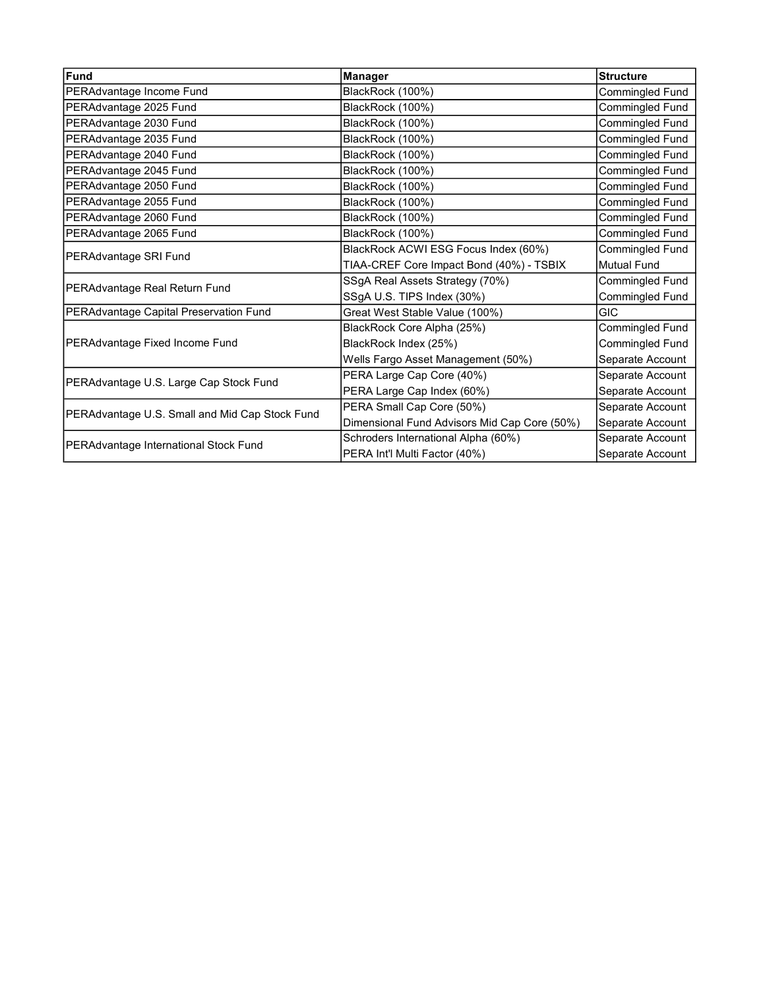<span id="page-16-0"></span>

| Fund                                           | <b>Manager</b>                               | <b>Structure</b>       |
|------------------------------------------------|----------------------------------------------|------------------------|
| PERAdvantage Income Fund                       | BlackRock (100%)                             | Commingled Fund        |
| PERAdvantage 2025 Fund                         | BlackRock (100%)                             | Commingled Fund        |
| PERAdvantage 2030 Fund                         | BlackRock (100%)                             | Commingled Fund        |
| PERAdvantage 2035 Fund                         | BlackRock (100%)                             | Commingled Fund        |
| PERAdvantage 2040 Fund                         | BlackRock (100%)                             | Commingled Fund        |
| PERAdvantage 2045 Fund                         | BlackRock (100%)                             | Commingled Fund        |
| PERAdvantage 2050 Fund                         | BlackRock (100%)                             | Commingled Fund        |
| PERAdvantage 2055 Fund                         | BlackRock (100%)                             | Commingled Fund        |
| PERAdvantage 2060 Fund                         | BlackRock (100%)                             | Commingled Fund        |
| PERAdvantage 2065 Fund                         | BlackRock (100%)                             | Commingled Fund        |
| PERAdvantage SRI Fund                          | BlackRock ACWI ESG Focus Index (60%)         | Commingled Fund        |
|                                                | TIAA-CREF Core Impact Bond (40%) - TSBIX     | Mutual Fund            |
| PERAdvantage Real Return Fund                  | SSgA Real Assets Strategy (70%)              | <b>Commingled Fund</b> |
|                                                | SSgA U.S. TIPS Index (30%)                   | Commingled Fund        |
| PERAdvantage Capital Preservation Fund         | Great West Stable Value (100%)               | <b>GIC</b>             |
|                                                | BlackRock Core Alpha (25%)                   | <b>Commingled Fund</b> |
| PERAdvantage Fixed Income Fund                 | BlackRock Index (25%)                        | <b>Commingled Fund</b> |
|                                                | Wells Fargo Asset Management (50%)           | Separate Account       |
| PERAdvantage U.S. Large Cap Stock Fund         | PERA Large Cap Core (40%)                    | Separate Account       |
|                                                | PERA Large Cap Index (60%)                   | Separate Account       |
| PERAdvantage U.S. Small and Mid Cap Stock Fund | PERA Small Cap Core (50%)                    | Separate Account       |
|                                                | Dimensional Fund Advisors Mid Cap Core (50%) | Separate Account       |
| PERAdvantage International Stock Fund          | Schroders International Alpha (60%)          | Separate Account       |
|                                                | PERA Int'l Multi Factor (40%)                | Separate Account       |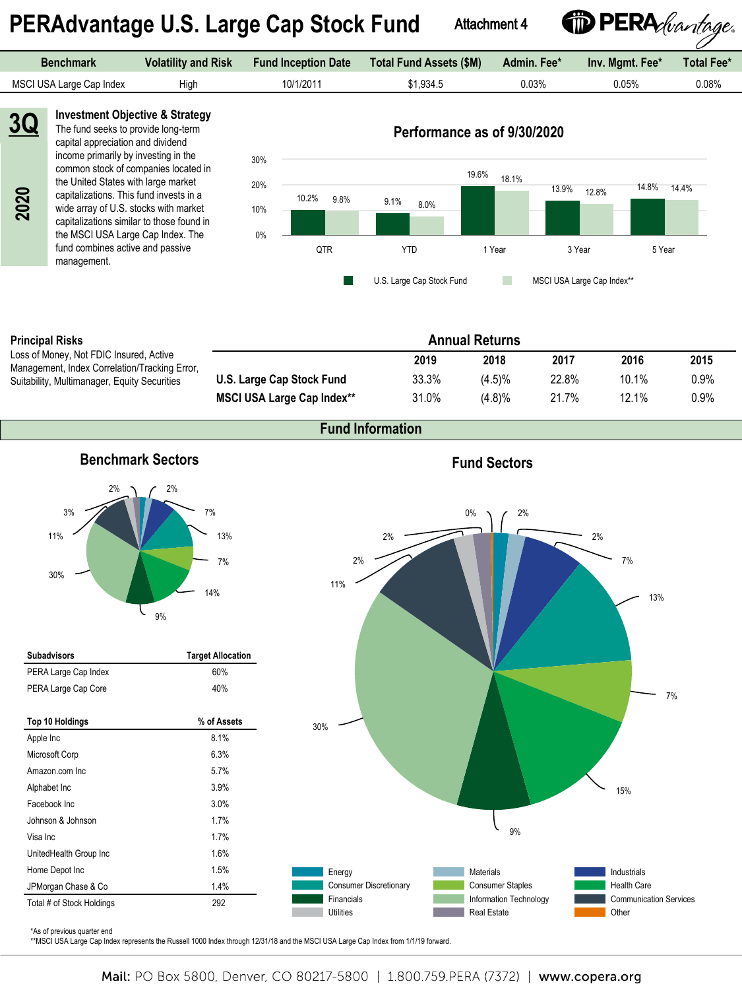# <span id="page-17-0"></span> **PERAdvantage U.S. Large Cap Stock Fund**

Attachment 4

<sup>*D* PERA *(vantage*.</sup>

| Benchmark                | <b>Volatility and Risk</b> | <b>Fund Inception Date</b> | Total Fund Assets (\$M) | Admin. Fee* | Inv. Mamt. Fee* | Total Fee* |
|--------------------------|----------------------------|----------------------------|-------------------------|-------------|-----------------|------------|
| MSCI USA Large Cap Index | High                       | 10/1/2011                  | \$1.934.5               | 0.03%       | 0.05%           | 0.08%      |
|                          |                            |                            |                         |             |                 |            |



**3Q**

#### **Investment Objective & Strategy** The fund seeks to provide long-term capital appreciation and dividend

income primarily by investing in the common stock of companies located in the United States with large market capitalizations. This fund invests in a wide array of U.S. stocks with market capitalizations similar to those found in the MSCI USA Large Cap Index. The fund combines active and passive management.



**Performance as of 9/30/2020**

#### **Principal Risks**

Loss of Money, Not FDIC Insured, Active Management, Index Correlation/Tracking Error, Suitability, Multimanager, Equity Securities

|                                   |       | <b>Annual Returns</b> |       |          |      |
|-----------------------------------|-------|-----------------------|-------|----------|------|
|                                   | 2019  | 2018                  | 2017  | 2016     | 2015 |
| U.S. Large Cap Stock Fund         | 33.3% | $(4.5)\%$             | 22.8% | 10.1%    | 0.9% |
| <b>MSCI USA Large Cap Index**</b> | 31.0% | (4.8)%                | 21.7% | $12.1\%$ | 0.9% |

### **Fund Information**



| <b>Subadvisors</b>        | <b>Target Allocation</b> |
|---------------------------|--------------------------|
| PERA Large Cap Index      | 60%                      |
| PERA Large Cap Core       | 40%                      |
|                           |                          |
| Top 10 Holdings           | % of Assets              |
| Apple Inc                 | 8.1%                     |
| Microsoft Corp            | 6.3%                     |
| Amazon.com Inc.           | 5.7%                     |
| Alphabet Inc              | 3.9%                     |
| Facebook Inc.             | 3.0%                     |
| Johnson & Johnson         | 1.7%                     |
| Visa Inc                  | 1.7%                     |
| UnitedHealth Group Inc    | 1.6%                     |
| Home Depot Inc            | 1.5%                     |
| JPMorgan Chase & Co       | 1.4%                     |
| Total # of Stock Holdings | 292                      |

### **Fund Sectors**



#### \*As of previous quarter end

\*\*MSCI USA Large Cap Index represents the Russell 1000 Index through 12/31/18 and the MSCI USA Large Cap Index from 1/1/19 forward.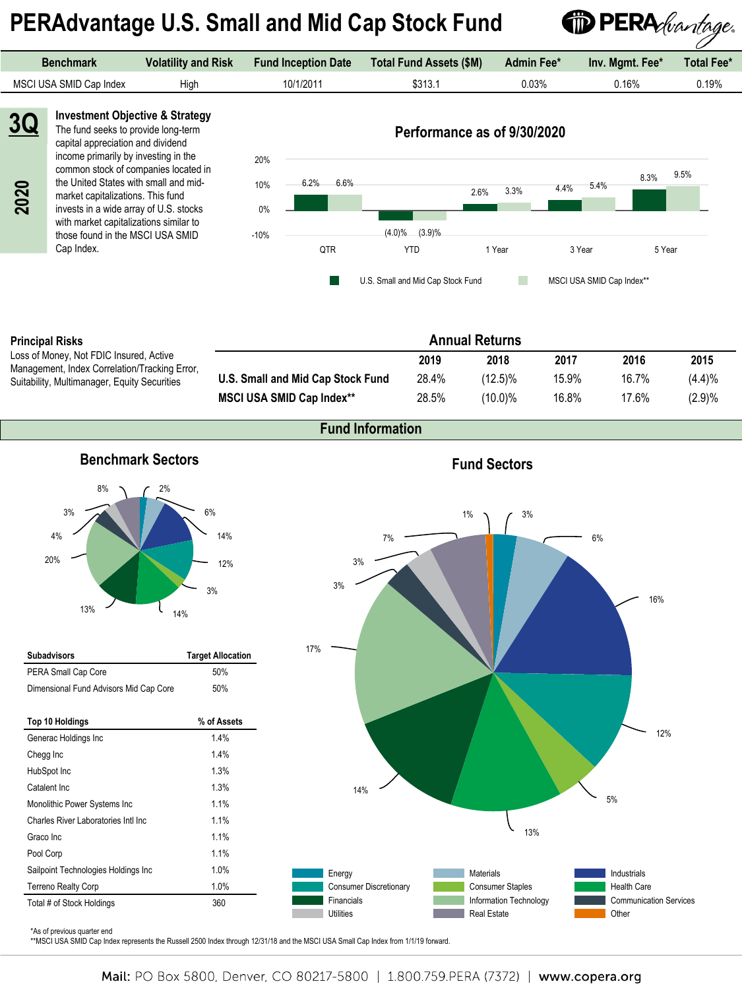# **PERAdvantage U.S. Small and Mid Cap Stock Fund**



| <b>Benchmark</b>        | <b>Volatility and Risk</b> | <b>Fund Inception Date</b> | Total Fund Assets (\$M) | Admin Fee* | Inv. Mamt. Fee* | Total Fee* |
|-------------------------|----------------------------|----------------------------|-------------------------|------------|-----------------|------------|
| MSCI USA SMID Cap Index | High                       | 10/1/2011                  | \$313.1                 | 0.03%      | 0.16%           | 0.19%      |
|                         |                            |                            |                         |            |                 |            |



#### **Principal Risks**

Loss of Money, Not FDIC Insured, Active Management, Index Correlation/Tracking Error, Suitability, Multimanager, Equity Securities

|                                   |       | <b>Annual Returns</b> |       |          |        |
|-----------------------------------|-------|-----------------------|-------|----------|--------|
|                                   | 2019  | 2018                  | 2017  | 2016     | 2015   |
| U.S. Small and Mid Cap Stock Fund | 28.4% | $(12.5)\%$            | 15.9% | $16.7\%$ | (4.4)% |
| <b>MSCI USA SMID Cap Index**</b>  | 28.5% | $(10.0)\%$            | 16.8% | 17.6%    | (2.9)% |

### **Fund Information**



| <b>Subadvisors</b>                     | <b>Target Allocation</b> |
|----------------------------------------|--------------------------|
| PERA Small Cap Core                    | 50%                      |
| Dimensional Fund Advisors Mid Cap Core | 50%                      |
|                                        |                          |
| Top 10 Holdings                        | % of Assets              |
| Generac Holdings Inc                   | 1.4%                     |
| Chegg Inc                              | 1.4%                     |
| HubSpot Inc                            | 1.3%                     |
| Catalent Inc.                          | 1.3%                     |
| Monolithic Power Systems Inc           | 1.1%                     |
| Charles River Laboratories Intl Inc.   | 1.1%                     |
| Graco Inc                              | 1.1%                     |
| Pool Corp                              | 1.1%                     |
| Sailpoint Technologies Holdings Inc    | 1.0%                     |
| <b>Terreno Realty Corp</b>             | 1.0%                     |
| Total # of Stock Holdings              | 360                      |

### **Fund Sectors**



\*As of previous quarter end

\*\*MSCI USA SMID Cap Index represents the Russell 2500 Index through 12/31/18 and the MSCI USA Small Cap Index from 1/1/19 forward.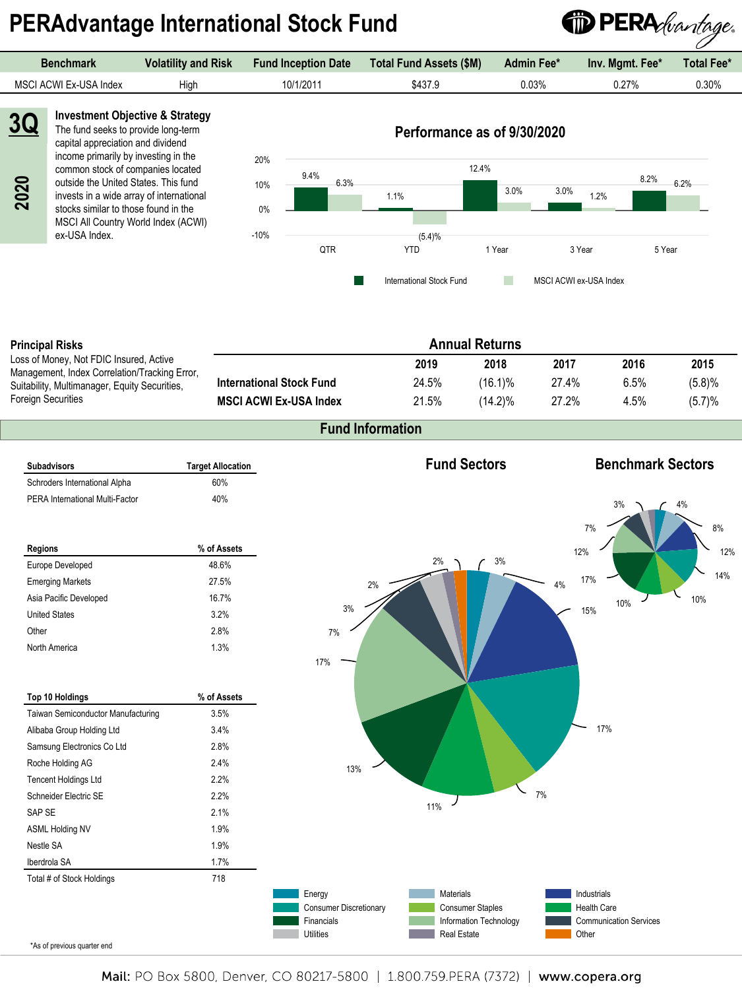# **PERAdvantage International Stock Fund**



| Benchmark              | <b>Volatility and Risk</b> | <b>Fund Inception Date</b> | <b>Total Fund Assets (\$M)</b> | <b>Admin Fee*</b> | Inv. Mamt. Fee* | <b>Total Fee*</b> |
|------------------------|----------------------------|----------------------------|--------------------------------|-------------------|-----------------|-------------------|
| MSCI ACWI Ex-USA Index | Hiah                       | 10/1/2011                  | \$437.9                        | 0.03%             | 0.27%           | 0.30%             |
|                        |                            |                            |                                |                   |                 |                   |



**2020**

**Investment Objective & Strategy** The fund seeks to provide long-term capital appreciation and dividend income primarily by investing in the

common stock of companies located outside the United States. This fund invests in a wide array of international stocks similar to those found in the MSCI All Country World Index (ACWI) ex-USA Index.



#### **Principal Risks**

Loss of Money, Not FDIC In Management, Index Correla Suitability, Multimanager, E Foreign Securities

|                                         |                                 | <b>Annual Returns</b> |            |       |      |        |
|-----------------------------------------|---------------------------------|-----------------------|------------|-------|------|--------|
| าsured. Active<br>ation/Tracking Error, |                                 | 2019                  | 2018       | 2017  | 2016 | 2015   |
| quity Securities,                       | <b>International Stock Fund</b> | 24.5%                 | $(16.1)\%$ | 27.4% | 6.5% | (5.8)% |
|                                         | <b>MSCI ACWI Ex-USA Index</b>   | 21.5%                 | $(14.2)\%$ | 27.2% | 4.5% | (5.7)% |

#### **Fund Information**



Mail: PO Box 5800, Denver, CO 80217-5800 | 1.800.759.PERA (7372) | www.copera.org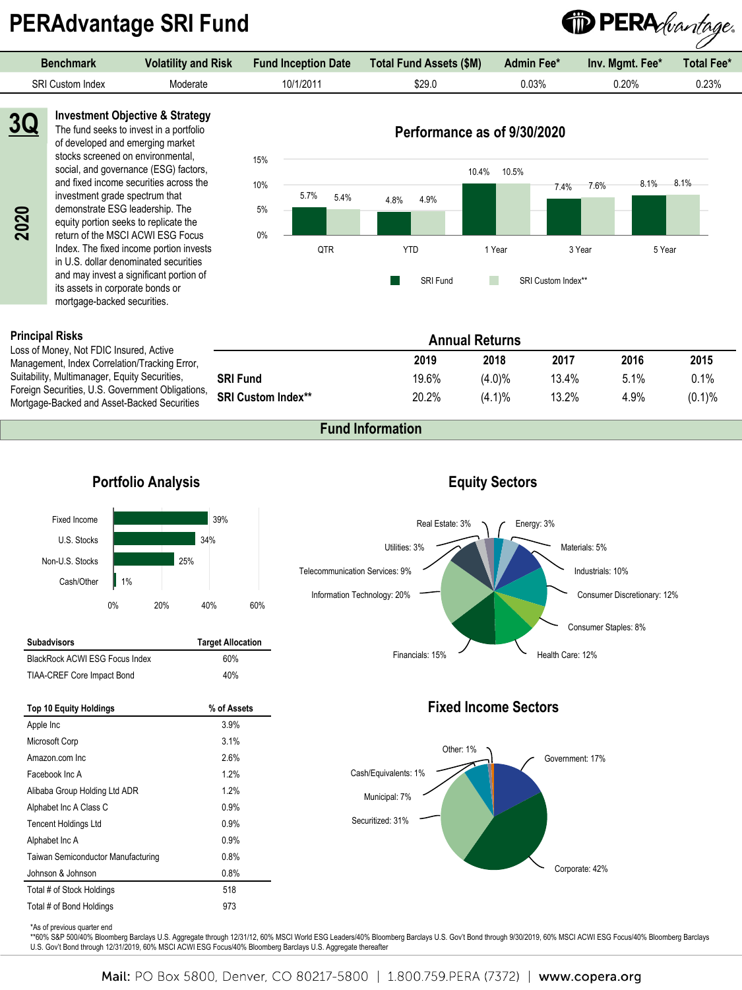# **PERAdvantage SRI Fund**

| <b>Benchmark</b>        | <b>Volatility and Risk</b> | <b>Fund Inception Date</b> | <b>Total Fund Assets (\$M)</b> | <b>Admin Fee*</b> | Inv. Mgmt. Fee* | <b>Total Fee*</b> |
|-------------------------|----------------------------|----------------------------|--------------------------------|-------------------|-----------------|-------------------|
| <b>SRI Custom Index</b> | Moderate                   | 10/1/2011                  | \$29.0                         | 0.03%             | $0.20\%$        | 0.23%             |
|                         |                            |                            |                                |                   |                 |                   |

**Investment Objective & Strategy** The fund seeks to invest in a portfolio of developed and emerging market stocks screened on environmental, social, and governance (ESG) factors, and fixed income securities across the investment grade spectrum that demonstrate ESG leadership. The equity portion seeks to replicate the return of the MSCI ACWI ESG Focus Index. The fixed income portion invests in U.S. dollar denominated securities and may invest a significant portion of its assets in corporate bonds or

### **Performance as of 9/30/2020**

<sup>1</sup> PERA *bantage*.



#### **Principal Risks**

Loss of Money, Not FDIC Insured, Active Management, Index Correlation/Tracking Error, Suitability, Multimanager, Equity Securities, Foreign Securities, U.S. Government Obligation Mortgage-Backed and Asset-Backed Securities

mortgage-backed securities.

|    |                           |       | <b>Annual Returns</b> |       |      |           |
|----|---------------------------|-------|-----------------------|-------|------|-----------|
|    |                           | 2019  | 2018                  | 2017  | 2016 | 2015      |
|    | <b>SRI Fund</b>           | 19.6% | $(4.0)\%$             | 13.4% | 5.1% | 0.1%      |
| S, | <b>SRI Custom Index**</b> | 20.2% | $(4.1)\%$             | 13.2% | 4.9% | $(0.1)\%$ |

**Equity Sectors**

Corporate: 42%

### **Fund Information**

#### Energy: 3% Materials: 5% Industrials: 10% Consumer Discretionary: 12% Consumer Staples: 8% Financials: 15% Mealth Care: 12% Information Technology: 20% Telecommunication Services: 9% Utilities: 3% Real Estate: 3% 39% 34% 25% 1% Fixed Income U.S. Stocks Non-U.S. Stocks Cash/Other 0% 20% 40% 60% **Fixed Income Sectors** Government: 17% Securitized: 31% Municipal: 7% Cash/Equivalents: 1% Other: 1% **Subadvisors Target Allocation** BlackRock ACWI ESG Focus Index 60% TIAA-CREF Core Impact Bond 40% **Top 10 Equity Holdings % of Assets** Apple Inc 3.9% Microsoft Corp 3.1% Amazon.com Inc 2.6% Facebook Inc A 1.2% Alibaba Group Holding Ltd ADR 1.2% Alphabet Inc A Class C 0.9% Tencent Holdings Ltd 0.9% Alphabet Inc A 0.9% Taiwan Semiconductor Manufacturing 0.8%

\*As of previous quarter end

Johnson & Johnson 0.8% Total # of Stock Holdings 518 Total # of Bond Holdings 973

\*\*60% S&P 500/40% Bloomberg Barclays U.S. Aggregate through 12/31/12, 60% MSCI World ESG Leaders/40% Bloomberg Barclays U.S. Gov't Bond through 9/30/2019, 60% MSCI ACWI ESG Focus/40% Bloomberg Barclays U.S. Gov't Bond through 12/31/2019, 60% MSCI ACWI ESG Focus/40% Bloomberg Barclays U.S. Aggregate thereafter

### **Portfolio Analysis**

#### Mail: PO Box 5800, Denver, CO 80217-5800 | 1.800.759.PERA (7372) | www.copera.org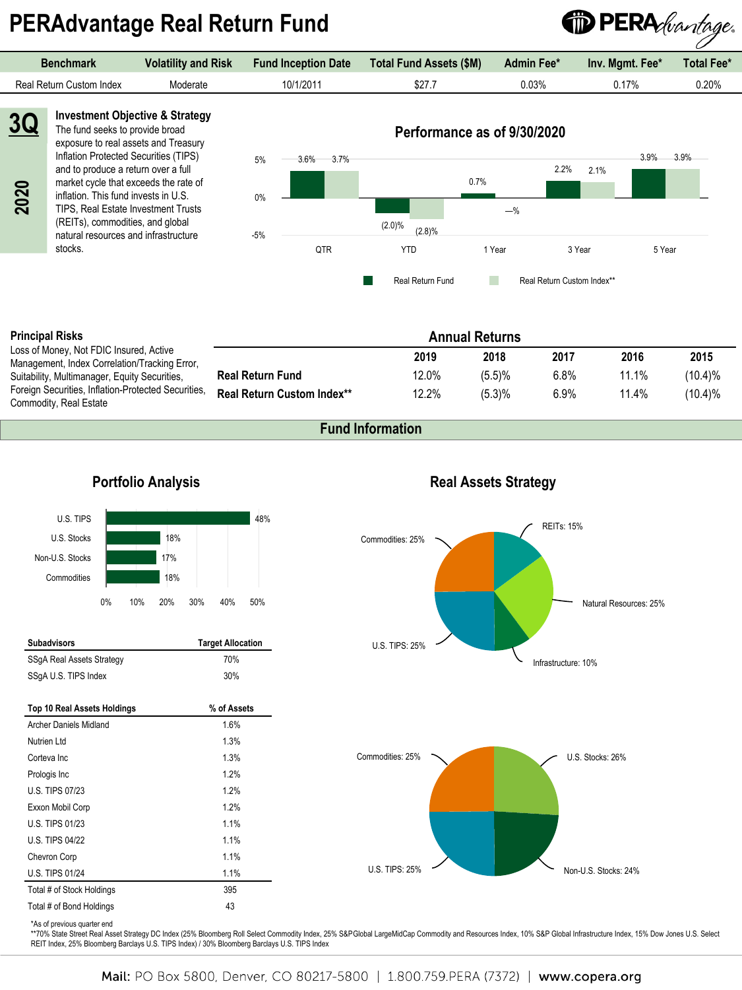# **PERAdvantage Real Return Fund**



| <b>Benchmark</b>         | <b>Volatility and Risk</b> | <b>Fund Inception Date</b> | Total Fund Assets (\$M) | <b>Admin Fee*</b> | Inv. Mgmt. Fee* | <b>Total Fee*</b> |
|--------------------------|----------------------------|----------------------------|-------------------------|-------------------|-----------------|-------------------|
| Real Return Custom Index | Moderate                   | 10/1/2011                  | \$27.7                  | 0.03%             | $0.17\%$        | 0.20%             |



#### **Principal Risks**

Loss of Money, Not FDIC Insured, Active Management, Index Correlation/Tracking Error, Suitability, Multimanager, Equity Securities, Foreign Securities, Inflation-Protected Securities, Commodity, Real Estate

| <b>Annual Returns</b>             |       |        |      |       |            |
|-----------------------------------|-------|--------|------|-------|------------|
|                                   | 2019  | 2018   | 2017 | 2016  | 2015       |
| <b>Real Return Fund</b>           | 12.0% | (5.5)% | 6.8% | 11.1% | (10.4)%    |
| <b>Real Return Custom Index**</b> | 12.2% | (5.3)% | 6.9% | 11.4% | $(10.4)\%$ |

### **Fund Information**

#### REITs: 15% Infrastructure: 10% U.S. TIPS: 25% **Portfolio Analysis**<br> **Portfolio Analysis**<br> **Portfolio Analysis**<br>
<sup>18%</sup> Commodities: 25% 48% 18% 17% 18% U.S. TIPS U.S. Stocks Non-U.S. Stocks **Commodities** 0% 10% 20% 30% 40% 50% U.S. Stocks: 26% U.S. TIPS: 25% Commodities: 25% **Subadvisors Target Allocation** SSgA Real Assets Strategy SSgA U.S. TIPS Index 30% **Top 10 Real Assets Holdings % of Assets** Archer Daniels Midland 1.6% Nutrien Ltd 1.3% Corteva Inc 2008 2012 1.3% Prologis Inc 2% U.S. TIPS 07/23 1.2% Exxon Mobil Corp 1.2% U.S. TIPS 01/23 1.1% U.S. TIPS 04/22 1.1% Chevron Corp 2012 1.1% U.S. TIPS 01/24 1.1%

| 559A Real Assets Strategy          | 7 U 7 o     |
|------------------------------------|-------------|
| SSqA U.S. TIPS Index               | 30%         |
|                                    |             |
| <b>Top 10 Real Assets Holdings</b> | % of Assets |
| Archer Daniels Midland             | 1.6%        |
| Nutrien Ltd                        | 1.3%        |
| Corteva Inc.                       | 1.3%        |
| Prologis Inc.                      | 1.2%        |
| U.S. TIPS 07/23                    | 1.2%        |
| Exxon Mobil Corp                   | 1.2%        |
| U.S. TIPS 01/23                    | 1.1%        |
| U.S. TIPS 04/22                    | 1.1%        |
| Chevron Corp                       | 1.1%        |
| <b>U.S. TIPS 01/24</b>             | 1.1%        |
| Total # of Stock Holdings          | 395         |

### **Real Assets Strategy**



![](_page_21_Figure_13.jpeg)

\*\*70% State Street Real Asset Strategy DC Index (25% Bloomberg Roll Select Commodity Index, 25% S&PGlobal LargeMidCap Commodity and Resources Index, 10% S&P Global Infrastructure Index, 15% Dow Jones U.S. Select REIT Index, 25% Bloomberg Barclays U.S. TIPS Index) / 30% Bloomberg Barclays U.S. TIPS Index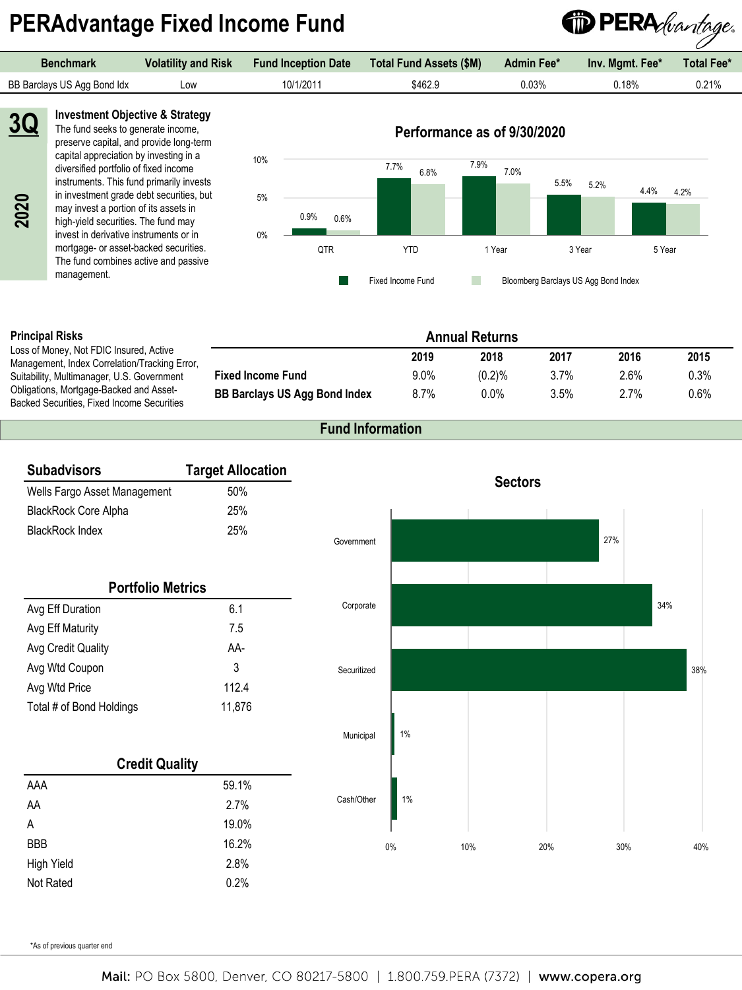# **PERAdvantage Fixed Income Fund**

![](_page_22_Picture_1.jpeg)

| <b>Benchmark</b>            | <b>Volatility and Risk</b> | <b>Fund Inception Date</b> | Total Fund Assets (\$M) | Admin Fee* | Inv. Mamt. Fee* | <b>Total Fee*</b> |
|-----------------------------|----------------------------|----------------------------|-------------------------|------------|-----------------|-------------------|
| BB Barclays US Agg Bond Idx | LOW                        | 10/1/2011                  | \$462.9                 | $0.03\%$   | $0.18\%$        | 0.21%             |

**2020**

**3Q**

**Investment Objective & Strategy** The fund seeks to generate income, preserve capital, and provide long-term capital appreciation by investing in a diversified portfolio of fixed income instruments. This fund primarily invests in investment grade debt securities, but may invest a portion of its assets in high-yield securities. The fund may invest in derivative instruments or in mortgage- or asset-backed securities. The fund combines active and passive management.

![](_page_22_Figure_5.jpeg)

#### **Principal Risks**

Loss of Money, Not FDIC Insured, Active Management, Index Correlation/Tracking Error, Suitability, Multimanager, U.S. Government Obligations, Mortgage-Backed and Asset-Backed Securities, Fixed Income Securities

|                                      |      | <b>Annual Returns</b> |         |         |      |
|--------------------------------------|------|-----------------------|---------|---------|------|
|                                      | 2019 | 2018                  | 2017    | 2016    | 2015 |
| <b>Fixed Income Fund</b>             | 9.0% | (0.2)%                | $3.7\%$ | $2.6\%$ | 0.3% |
| <b>BB Barclays US Agg Bond Index</b> | 8.7% | $0.0\%$               | $3.5\%$ | 2.7%    | 0.6% |

### **Fund Information**

| <b>Subadvisors</b>           | <b>Target Allocation</b> |             |       |     |                |     |     |     |
|------------------------------|--------------------------|-------------|-------|-----|----------------|-----|-----|-----|
| Wells Fargo Asset Management | 50%                      |             |       |     | <b>Sectors</b> |     |     |     |
| BlackRock Core Alpha         | 25%                      |             |       |     |                |     |     |     |
| <b>BlackRock Index</b>       | 25%                      | Government  |       |     |                | 27% |     |     |
| <b>Portfolio Metrics</b>     |                          |             |       |     |                |     |     |     |
| Avg Eff Duration             | 6.1                      | Corporate   |       |     |                |     | 34% |     |
| Avg Eff Maturity             | 7.5                      |             |       |     |                |     |     |     |
| Avg Credit Quality           | AA-                      |             |       |     |                |     |     |     |
| Avg Wtd Coupon               | 3                        | Securitized |       |     |                |     |     | 38% |
| Avg Wtd Price                | 112.4                    |             |       |     |                |     |     |     |
| Total # of Bond Holdings     | 11,876                   |             |       |     |                |     |     |     |
|                              |                          | Municipal   | $1\%$ |     |                |     |     |     |
| <b>Credit Quality</b>        |                          |             |       |     |                |     |     |     |
| AAA                          | 59.1%                    |             |       |     |                |     |     |     |
| AA                           | 2.7%                     | Cash/Other  | $1\%$ |     |                |     |     |     |
| A                            | 19.0%                    |             |       |     |                |     |     |     |
| <b>BBB</b>                   | 16.2%                    |             | 0%    | 10% | 20%            | 30% |     | 40% |
| <b>High Yield</b>            | 2.8%                     |             |       |     |                |     |     |     |
| Not Rated                    | 0.2%                     |             |       |     |                |     |     |     |

\*As of previous quarter end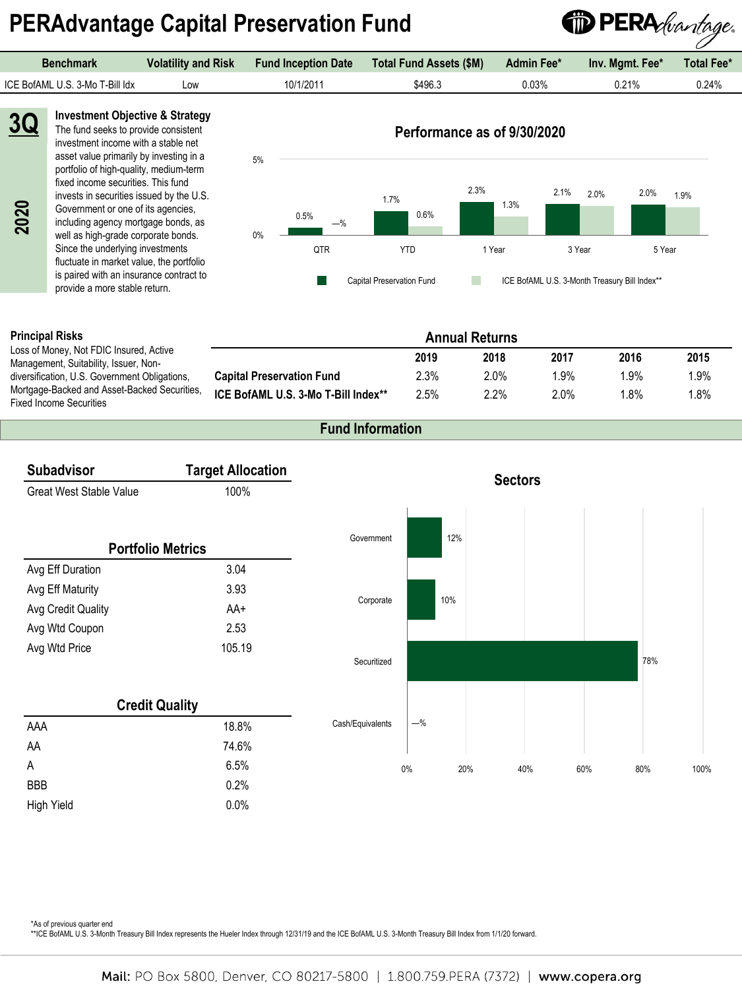# **PERAdvantage Capital Preservation Fund**

![](_page_23_Picture_1.jpeg)

| <b>Benchmark</b>                                                                         | <b>Volatility and Risk</b> | <b>Fund Inception Date</b> | <b>Total Fund Assets (\$M)</b> | Admin Fee* | Inv. Mgmt. Fee* | Total Fee* |
|------------------------------------------------------------------------------------------|----------------------------|----------------------------|--------------------------------|------------|-----------------|------------|
| ICE BofAML U.S. 3-Mo T-Bill Idx                                                          | Low                        | 10/1/2011                  | \$496.3                        | 0.03%      | 0.21%           | 0.24%      |
| <b>Investment Objective &amp; Strategy</b><br>3Q<br>The fund seeks to provide consistent |                            |                            | Performance as of 9/30/2020    |            |                 |            |

**2020**

The fund seeks to provide consistent investment income with a stable net asset value primarily by investing in a portfolio of high-quality, medium-term fixed income securities. This fund invests in securities issued by the U.S. Government or one of its agencies, including agency mortgage bonds, as well as high-grade corporate bonds. Since the underlying investments fluctuate in market value, the portfolio is paired with an insurance contract to provide a more stable return.

![](_page_23_Figure_5.jpeg)

#### **Principal Risks**

Loss of Money, Not FDIC Insured, Active Management, Suitability, Issuer, Nondiversification, U.S. Government Obligations, Mortgage-Backed and Asset-Backed Securities, Fixed Income Securities

|                                     |      | <b>Annual Returns</b> |         |         |      |
|-------------------------------------|------|-----------------------|---------|---------|------|
|                                     | 2019 | 2018                  | 2017    | 2016    | 2015 |
| <b>Capital Preservation Fund</b>    | 2.3% | 2.0%                  | $1.9\%$ | 1.9%    | 1.9% |
| ICE BofAML U.S. 3-Mo T-Bill Index** | 2.5% | $2.2\%$               | 2.0%    | $1.8\%$ | 1.8% |

### **Fund Information**

![](_page_23_Figure_10.jpeg)

\*As of previous quarter end

\*\*ICE BofAML U.S. 3-Month Treasury Bill Index represents the Hueler Index through 12/31/19 and the ICE BofAML U.S. 3-Month Treasury Bill Index from 1/1/20 forward.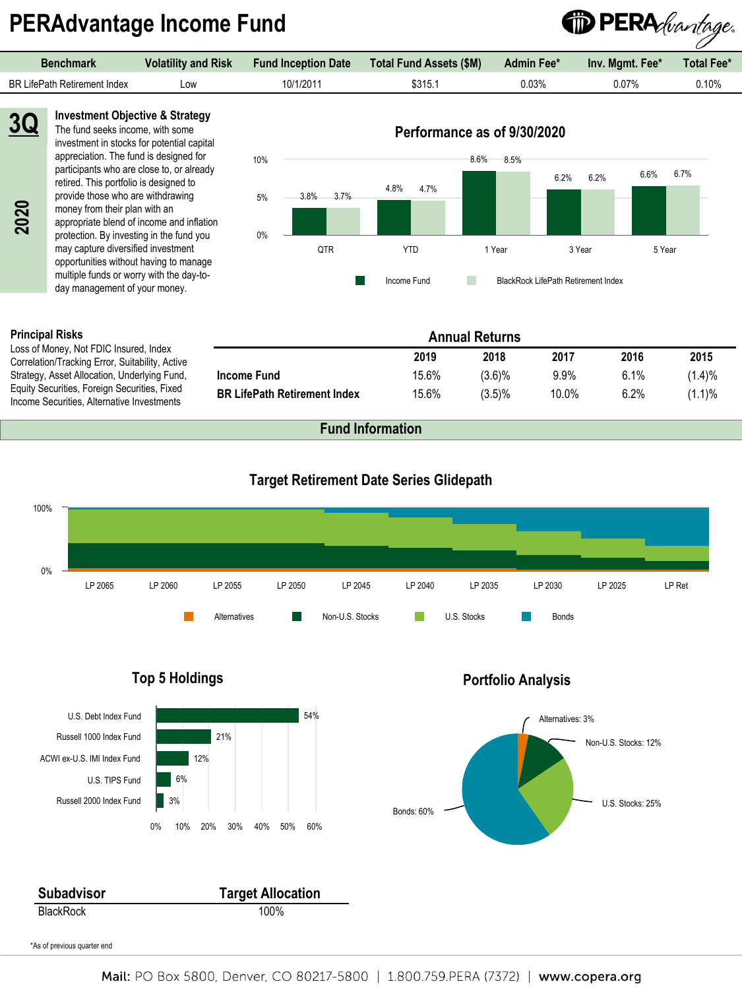# **PERAdvantage Income Fund**

![](_page_24_Picture_1.jpeg)

**Investment Objective & Strategy** The fund seeks income, with some investment in stocks for potential capital appreciation. The fund is designed for participants who are close to, or already retired. This portfolio is designed to provide those who are withdrawing money from their plan with an appropriate blend of income and inflation protection. By investing in the fund you may capture diversified investment opportunities without having to manage multiple funds or worry with the day-today management of your money. **3Q** money from their plan with an<br>appropriate blend of income an<br>protection. By investing in the fu<br>may capture diversified investment<br>opportunities without having to<br>multiple funds or worry with the<br>day management of your mon

![](_page_24_Figure_3.jpeg)

#### **Principal Risks**

Loss of Money, Not FDIC Insured, Index Correlation/Tracking Error, Suitability, Active Strategy, Asset Allocation, Underlying Fund, Equity Securities, Foreign Securities, Fixed

|                                     |       | <b>Annual Returns</b> |       |      |            |
|-------------------------------------|-------|-----------------------|-------|------|------------|
|                                     | 2019  | 2018                  | 2017  | 2016 | 2015       |
| Income Fund                         | 15.6% | $(3.6)\%$             | 9.9%  | 6.1% | (1.4)%     |
| <b>BR LifePath Retirement Index</b> | 15.6% | $(3.5)\%$             | 10.0% | 6.2% | $(1.1) \%$ |

![](_page_24_Figure_8.jpeg)

![](_page_24_Figure_9.jpeg)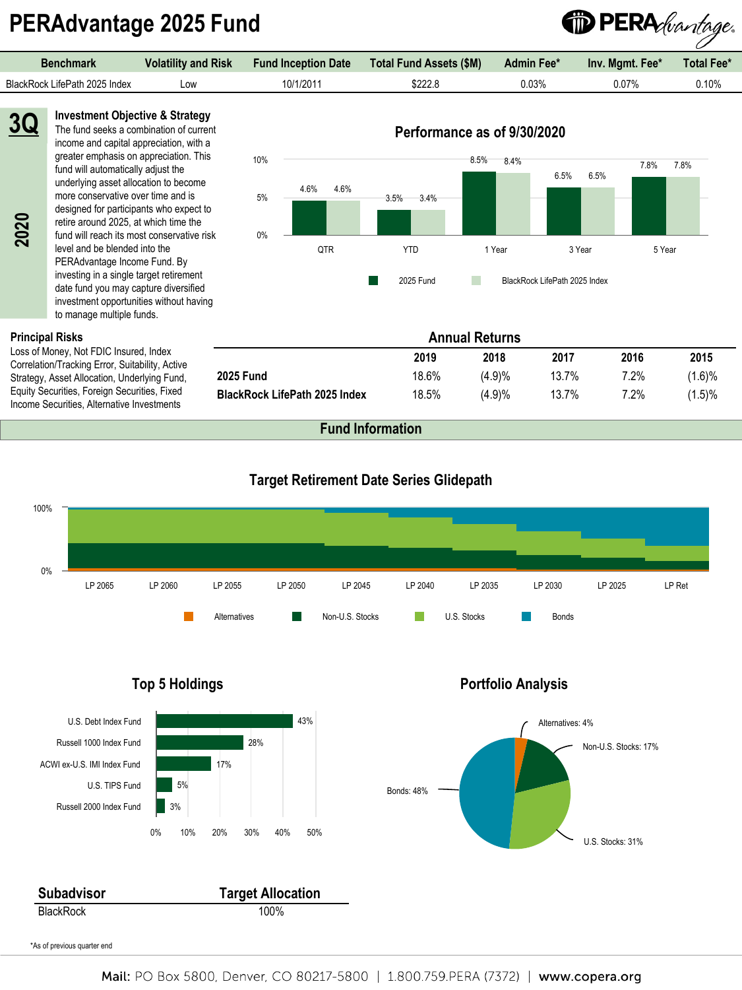# **PERAdvantage 2025 Fund**

**Investment Objective & Strategy**

![](_page_25_Picture_1.jpeg)

**2020**

**3Q** The fund seeks a combination of current income and capital appreciation, with a greater emphasis on appreciation. This fund will automatically adjust the underlying asset allocation to become more conservative over time and is designed for participants who expect to retire around 2025, at which time the fund will reach its most conservative risk level and be blended into the PERAdvantage Income Fund. By investing in a single target retirement date fund you may capture diversified investment opportunities without having to manage multiple funds.

#### **Principal Risks**

Loss of Money, Not FDIC Insured, Index Correlation/Tracking Error, Suitability, Active Strategy, Asset Allocation, Underlying Fund, Equity Securities, Foreign Securities, Fixed Income Securities, Alternative Investments

![](_page_25_Figure_6.jpeg)

**Annual Returns**

**2025 Fund** 18.6% (4.9)% 13.7% 7.2% (1.6)% **BlackRock LifePath 2025 Index** 18.5% (4.9)% 13.7% 7.2% (1.5)%

**2019 2018 2017 2016 2015**

#### **Target Retirement Date Series Glidepath**

![](_page_25_Figure_8.jpeg)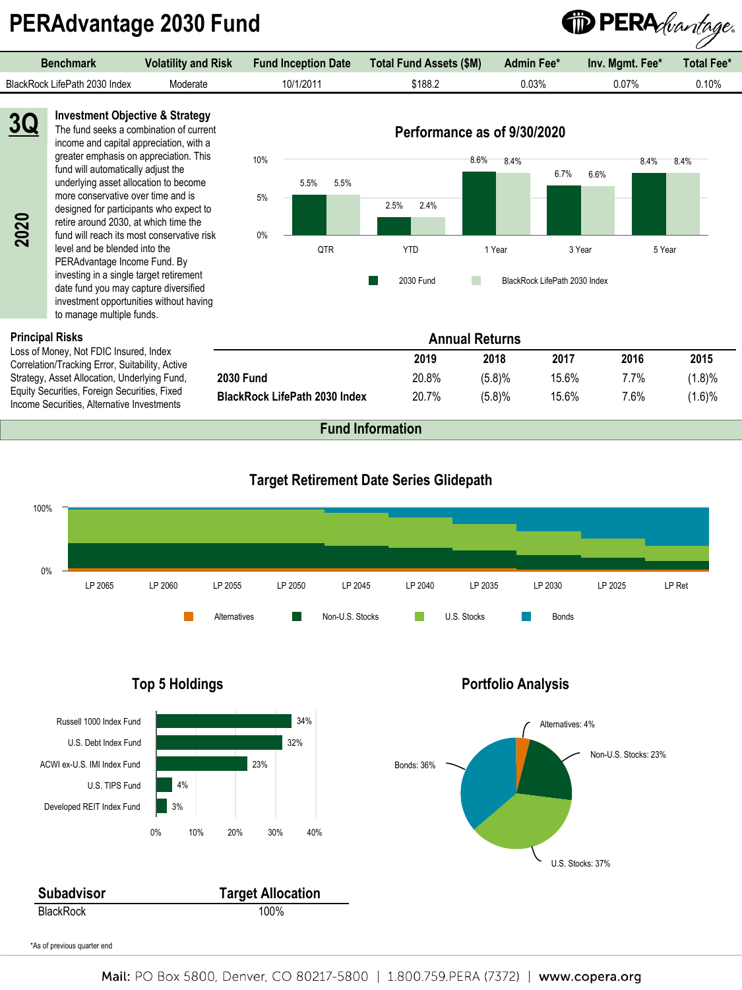# **PERAdvantage 2030 Fund**

**Investment Objective & Strategy**

| <b>Benchmark</b>              | <b>Volatility and Risk</b> | <b>Fund Inception Date</b> | Total Fund Assets (\$M) | <b>Admin Fee*</b> | Inv. Mgmt. Fee* | <b>Total Fee*</b> |
|-------------------------------|----------------------------|----------------------------|-------------------------|-------------------|-----------------|-------------------|
| BlackRock LifePath 2030 Index | Moderate                   | 10/1/2011                  | \$188.2                 | ን.03%             | 0.07%           | $0.10\%$          |
|                               |                            |                            |                         |                   |                 |                   |

**2020**

**3Q**

The fund seeks a combination of current income and capital appreciation, with a greater emphasis on appreciation. This fund will automatically adjust the underlying asset allocation to become more conservative over time and is designed for participants who expect to retire around 2030, at which time the fund will reach its most conservative risk level and be blended into the PERAdvantage Income Fund. By investing in a single target retirement date fund you may capture diversified investment opportunities without having to manage multiple funds.

#### **Principal Risks**

Loss of Money, Not FDIC Insured, Index Correlation/Tracking Error, Suitability, Active Strategy, Asset Allocation, Underlying Fund, Equity Securities, Foreign Securities, Fixed Income Securities, Alternative Investments

![](_page_26_Figure_6.jpeg)

**Annual Returns**

**2030 Fund** 20.8% (5.8)% 15.6% 7.7% (1.8)% **BlackRock LifePath 2030 Index** 20.7% (5.8)% 15.6% 7.6% (1.6)%

**2019 2018 2017 2016 2015**

<sup>1</sup> PERA *(vantage.* 

### **Target Retirement Date Series Glidepath**

![](_page_26_Figure_8.jpeg)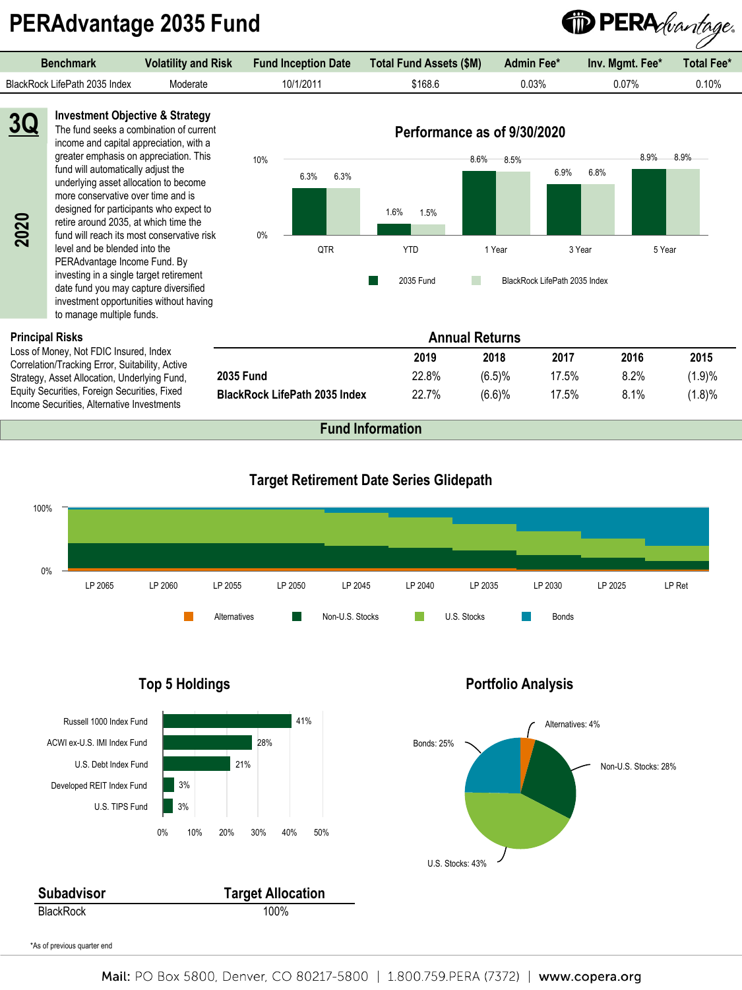# **PERAdvantage 2035 Fund**

![](_page_27_Picture_1.jpeg)

**Principal Risks**

Loss of Money, Not FDIC Insured, Index Correlation/Tracking Error, Suitability, Active Strategy, Asset Allocation, Underlying Fund, Equity Securities, Foreign Securities, Fixed Income Securities, Alternative Investments

to manage multiple funds.

PERAdvantage Income Fund. By investing in a single target retirement date fund you may capture diversified investment opportunities without having

|                                      |       | <b>Annual Returns</b> |       |      |        |
|--------------------------------------|-------|-----------------------|-------|------|--------|
|                                      | 2019  | 2018                  | 2017  | 2016 | 2015   |
| <b>2035 Fund</b>                     | 22.8% | (6.5)%                | 17.5% | 8.2% | (1.9)% |
| <b>BlackRock LifePath 2035 Index</b> | 22.7% | (6.6)%                | 17.5% | 8.1% | (1.8)% |

2035 Fund BlackRock LifePath 2035 Index

**Fund Information**

![](_page_27_Figure_6.jpeg)

#### **Target Retirement Date Series Glidepath**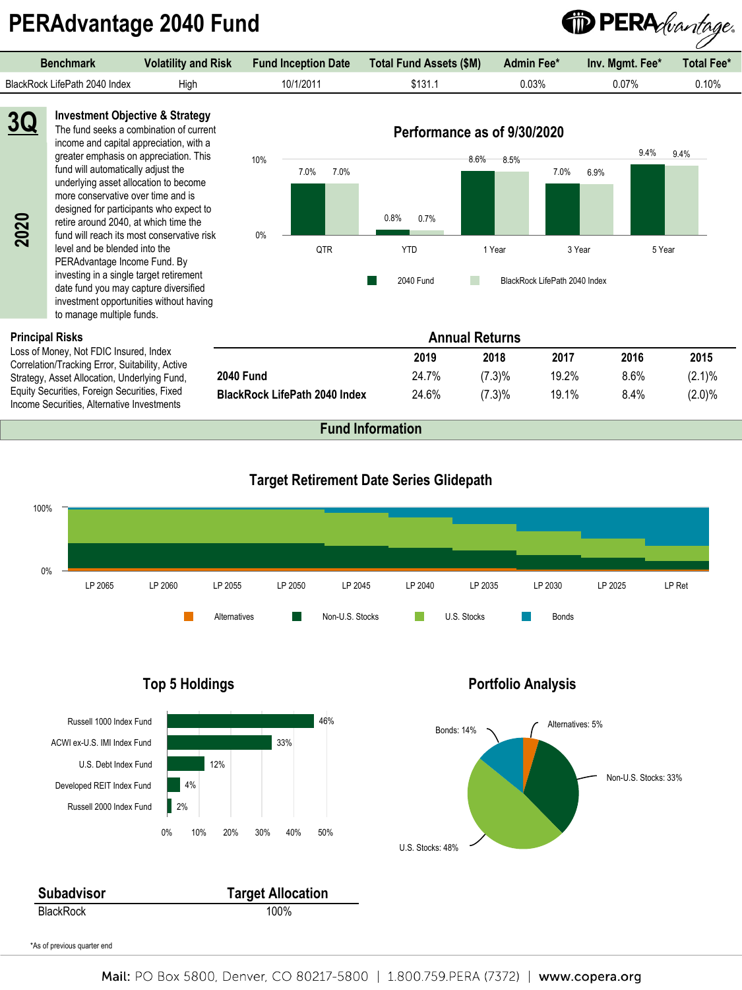# **PERAdvantage 2040 Fund**

![](_page_28_Picture_1.jpeg)

income and capital appreciation, with a greater emphasis on appreciation. This fund will automatically adjust the underlying asset allocation to become more conservative over time and is designed for participants who expect to retire around 2040, at which time the fund will reach its most conservative risk level and be blended into the PERAdvantage Income Fund. By investing in a single target retirement date fund you may capture diversified investment opportunities without having to manage multiple funds.

#### **Principal Risks**

**2020**

Loss of Money, Not FDIC Insured, Index Correlation/Tracking Error, Suitability, Active Strategy, Asset Allocation, Underlying Fund, Equity Securities, Foreign Securities, Fixed Income Securities, Alternative Investments

| 10%   |              |              | 8.6%<br>8.5% |                               | 9.4%<br>9.4% |
|-------|--------------|--------------|--------------|-------------------------------|--------------|
|       | 7.0%<br>7.0% |              |              | 7.0%<br>6.9%                  |              |
|       |              |              |              |                               |              |
|       |              |              |              |                               |              |
|       |              | 0.8%<br>0.7% |              |                               |              |
| $0\%$ | QTR          | <b>YTD</b>   | 1 Year       | 3 Year                        | 5 Year       |
|       |              |              |              |                               |              |
|       |              | 2040 Fund    |              | BlackRock LifePath 2040 Index |              |

**Annual Returns**

**2040 Fund** 24.7% (7.3)% 19.2% 8.6% (2.1)% **BlackRock LifePath 2040 Index** 24.6% (7.3)% 19.1% 8.4% (2.0)%

**2019 2018 2017 2016 2015**

### **Target Retirement Date Series Glidepath**

![](_page_28_Figure_7.jpeg)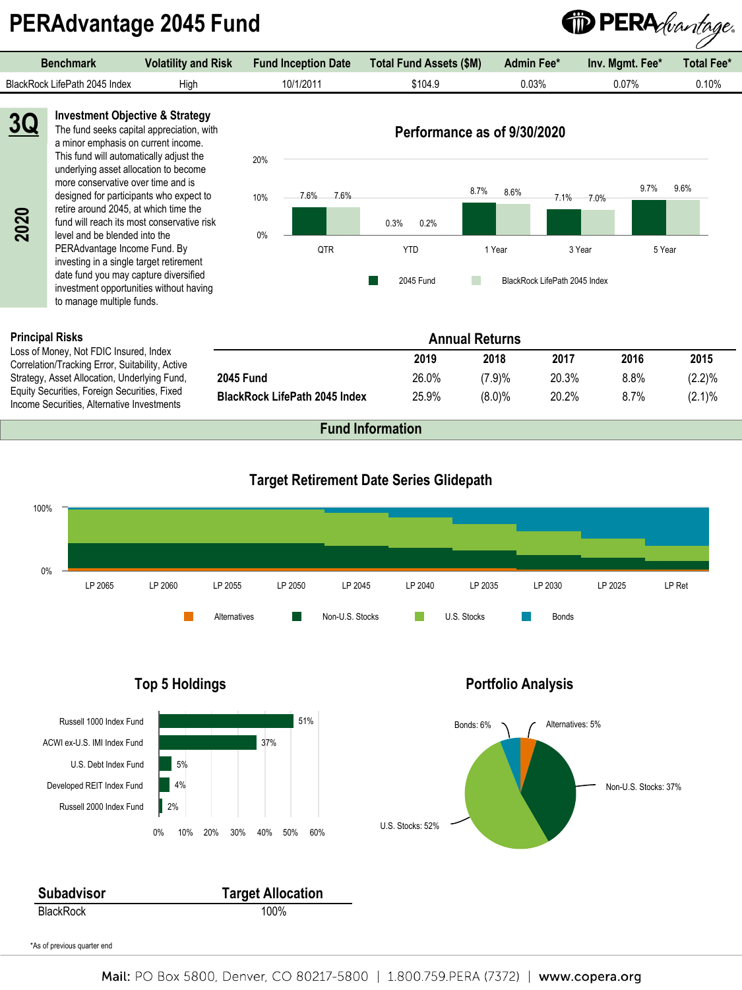# **PERAdvantage 2045 Fund**

<sup>1</sup> PERA *duantage*. **Benchmark Volatility and Risk Fund Inception Date Total Fund Assets (\$M) Admin Fee\* Inv. Mgmt. Fee\* Total Fee\*** BlackRock LifePath 2045 Index High 10/1/2011 \$104.9 0.03% 0.07% 0.10% **3Q Investment Objective & Strategy** The fund seeks capital appreciation, with **Performance as of 9/30/2020** a minor emphasis on current income. This fund will automatically adjust the 20% underlying asset allocation to become more conservative over time and is 9.7% 9.6% 8.7% 7.1% 8.6% 7.0% designed for participants who expect to 7.6% 7.6% 10% retire around 2045, at which time the **2020**0.3% 0.2%

fund will reach its most conservative risk level and be blended into the PERAdvantage Income Fund. By investing in a single target retirement date fund you may capture diversified investment opportunities without having to manage multiple funds.

#### **Principal Risks**

Loss of Money, Not FDIC Insured, Index Correlation/Tracking Error, Suitability, Active Strategy, Asset Allocation, Underlying Fund, Equity Securities, Foreign Securities, Fixed Income Securities, Alternative Investments

| $0\%$ |     |            |                       |                               |              |
|-------|-----|------------|-----------------------|-------------------------------|--------------|
|       | QTR | <b>YTD</b> | 1 Year                | 3 Year                        | 5 Year       |
|       |     | 2045 Fund  |                       | BlackRock LifePath 2045 Index |              |
|       |     |            | <b>Annual Returns</b> |                               |              |
|       |     | 2019       | 2018                  | 2017                          | 2016<br>2015 |

**2045 Fund** 26.0% (7.9)% 20.3% 8.8% (2.2)% **BlackRock LifePath 2045 Index** 25.9% (8.0)% 20.2% 8.7% (2.1)%

**Fund Information**

![](_page_29_Figure_7.jpeg)

![](_page_29_Figure_8.jpeg)

### Mail: PO Box 5800, Denver, CO 80217-5800 | 1.800.759.PERA (7372) | www.copera.org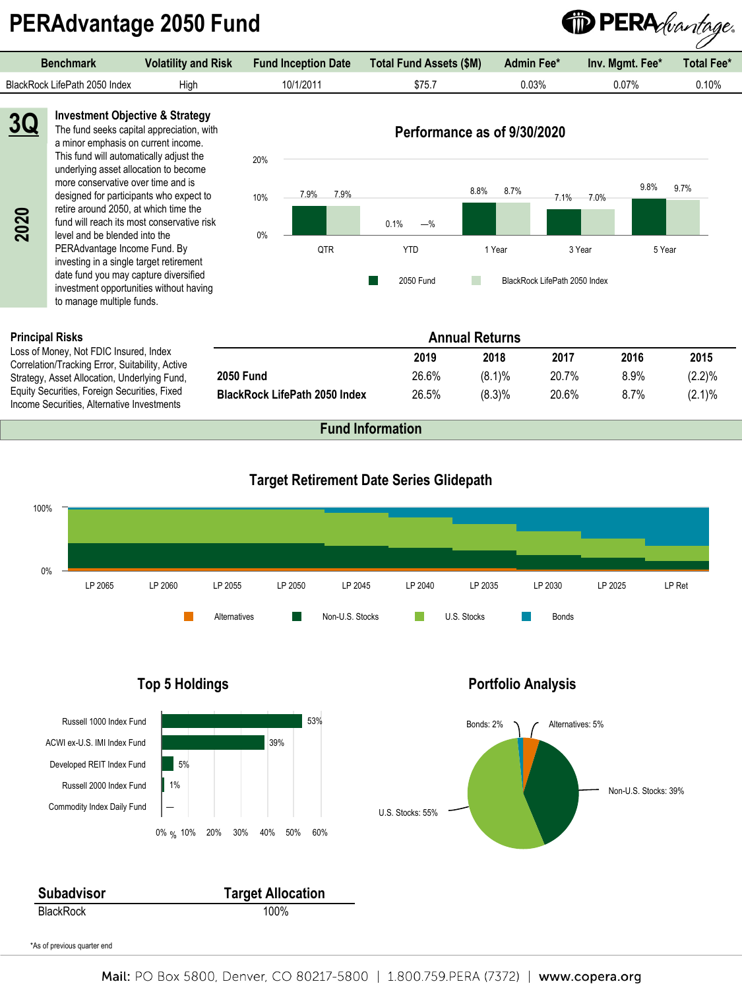# **PERAdvantage 2050 Fund**

![](_page_30_Picture_1.jpeg)

#### **Principal Risks**

Loss of Money, Not FDIC Insured, Index Correlation/Tracking Error, Suitability, Active Strategy, Asset Allocation, Underlying Fund, Equity Securities, Foreign Securities, Fixed Income Securities, Alternative Investments

|                                      |       | <b>Annual Returns</b> |       |      |           |
|--------------------------------------|-------|-----------------------|-------|------|-----------|
|                                      | 2019  | 2018                  | 2017  | 2016 | 2015      |
| <b>2050 Fund</b>                     | 26.6% | $(8.1)\%$             | 20.7% | 8.9% | $(2.2)\%$ |
| <b>BlackRock LifePath 2050 Index</b> | 26.5% | (8.3)%                | 20.6% | 8.7% | $(2.1)\%$ |

![](_page_30_Figure_6.jpeg)

![](_page_30_Figure_7.jpeg)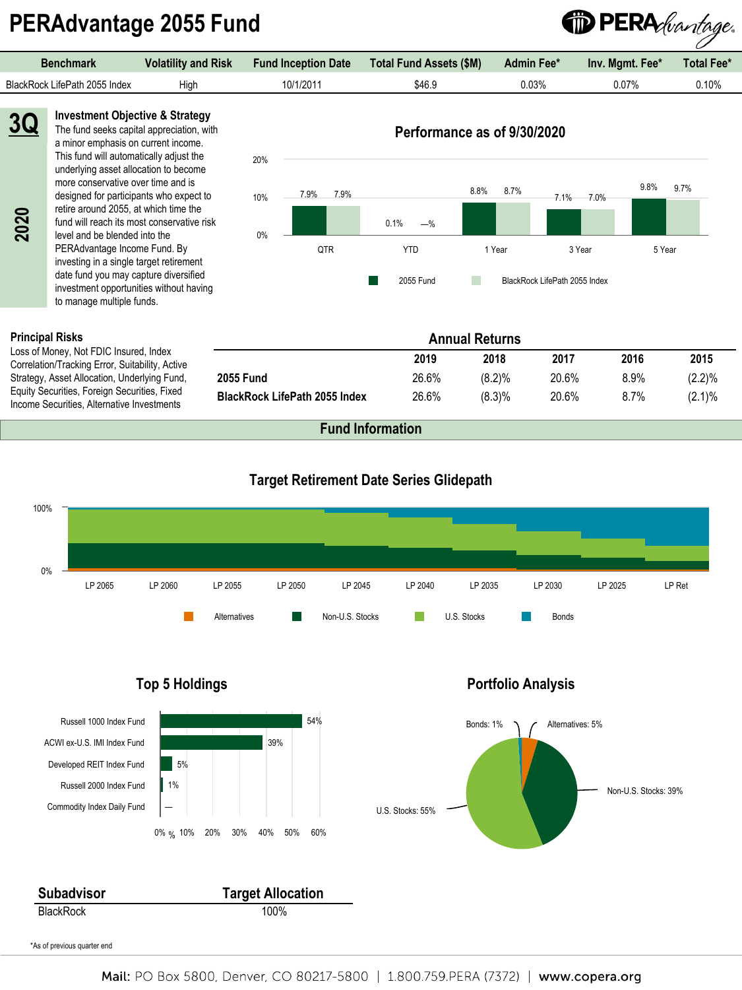# **PERAdvantage 2055 Fund**

![](_page_31_Picture_1.jpeg)

#### **Principal Risks**

Loss of Money, Not FDIC Insured, Index Correlation/Tracking Error, Suitability, Active Strategy, Asset Allocation, Underlying Fund, Equity Securities, Foreign Securities, Fixed Income Securities, Alternative Investments

|                                      |       | <b>Annual Returns</b> |       |      |           |  |
|--------------------------------------|-------|-----------------------|-------|------|-----------|--|
|                                      | 2019  | 2018                  | 2017  | 2016 | 2015      |  |
| <b>2055 Fund</b>                     | 26.6% | (8.2)%                | 20.6% | 8.9% | $(2.2)\%$ |  |
| <b>BlackRock LifePath 2055 Index</b> | 26.6% | $(8.3)\%$             | 20.6% | 8.7% | $(2.1)\%$ |  |

![](_page_31_Figure_6.jpeg)

![](_page_31_Figure_7.jpeg)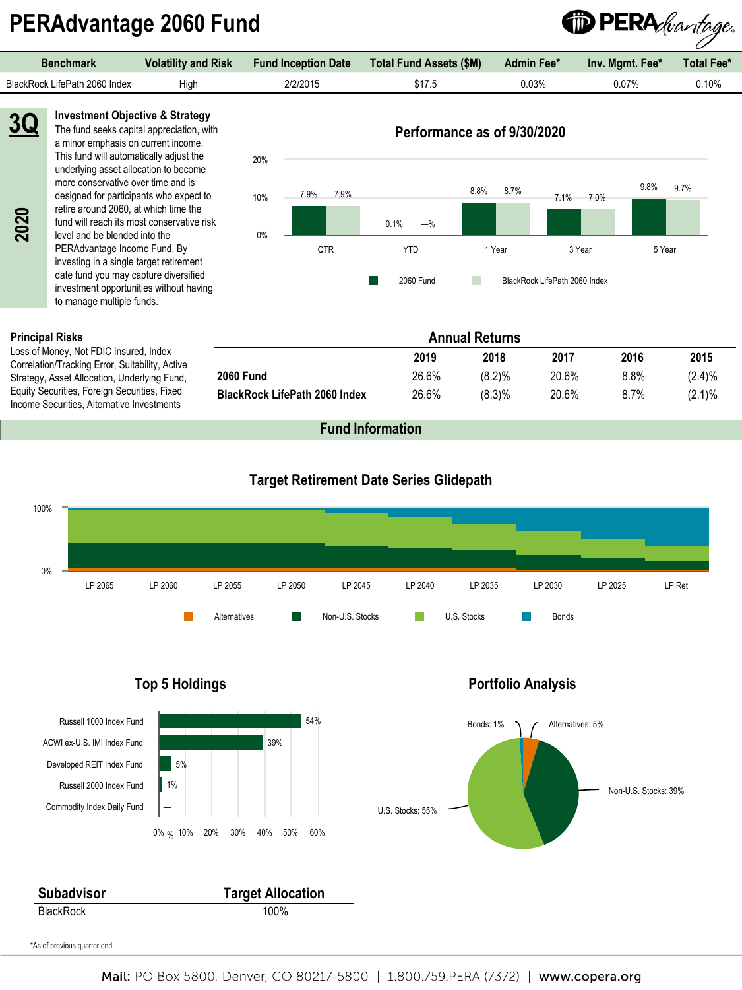# **PERAdvantage 2060 Fund**

<sup>1</sup> PERA *duantage*. **Benchmark Volatility and Risk Fund Inception Date Total Fund Assets (\$M) Admin Fee\* Inv. Mgmt. Fee\* Total Fee\*** BlackRock LifePath 2060 Index High 2/2/2015 \$17.5 0.03% 0.07% 0.10%

**2020 3Q** **Investment Objective & Strategy** The fund seeks capital appreciation, with a minor emphasis on current income. This fund will automatically adjust the underlying asset allocation to become more conservative over time and is designed for participants who expect to retire around 2060, at which time the fund will reach its most conservative risk level and be blended into the PERAdvantage Income Fund. By investing in a single target retirement date fund you may capture diversified investment opportunities without having

20%

### **Performance as of 9/30/2020** 8.8% 7.1% 8.7% 7.0% 9.8% 7.9%

9.7%

![](_page_32_Figure_5.jpeg)

#### **Principal Risks**

Loss of Money, Not FDIC Insured, Index Correlation/Tracking Error, Suitability, Active Strategy, Asset Allocation, Underlying Fund, Equity Securities, Foreign Securities, Fixed Income Securities, Alternative Investments

to manage multiple funds.

|                                      |       | <b>Annual Returns</b> |       |      |           |
|--------------------------------------|-------|-----------------------|-------|------|-----------|
|                                      | 2019  | 2018                  | 2017  | 2016 | 2015      |
| <b>2060 Fund</b>                     | 26.6% | (8.2)%                | 20.6% | 8.8% | (2.4)%    |
| <b>BlackRock LifePath 2060 Index</b> | 26.6% | (8.3)%                | 20.6% | 8.7% | $(2.1)\%$ |

![](_page_32_Figure_10.jpeg)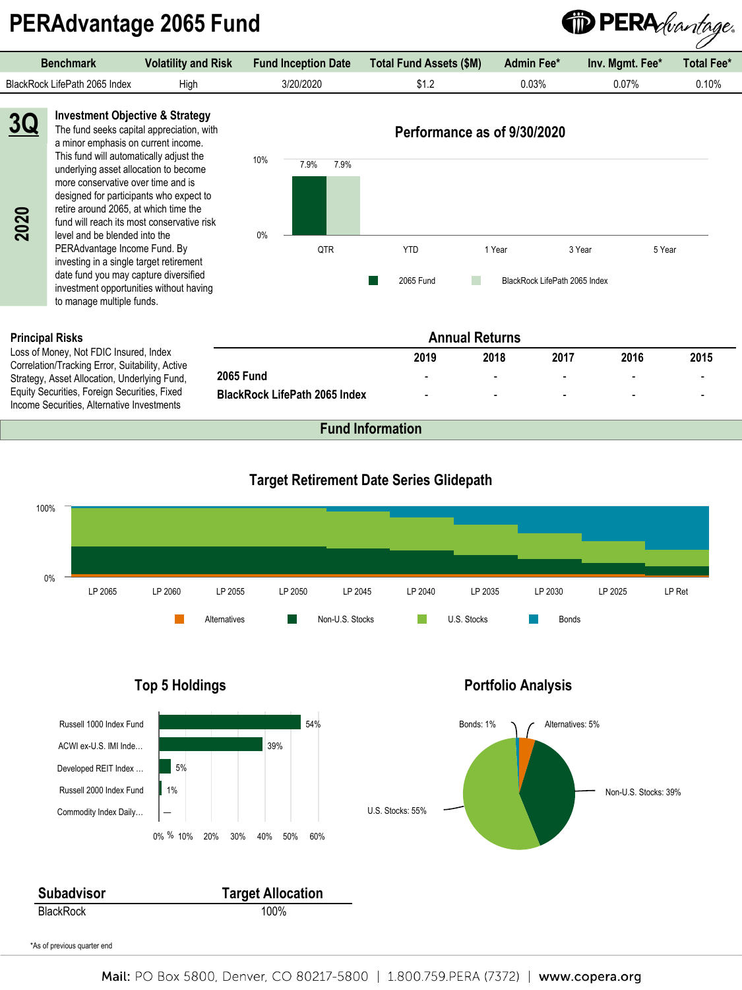# DPERA *duantage*.  **PERAdvantage 2065 Fund**

| Benchmark                     | <b>Volatility and Risk</b> | <b>Fund Inception Date</b> | <b>Total Fund Assets (\$M)</b><br><b>Admin Fee*</b> |          | Inv. Mgmt. Fee* | <b>Total Fee*</b> |
|-------------------------------|----------------------------|----------------------------|-----------------------------------------------------|----------|-----------------|-------------------|
| BlackRock LifePath 2065 Index | Hiah                       | 3/20/2020                  | ے. اللا                                             | $0.03\%$ | 0.07%           | $0.10\%$          |
|                               |                            |                            |                                                     |          |                 |                   |

**Investment Objective & Strategy** The fund seeks capital appreciation, with a minor emphasis on current income. This fund will automatically adjust the underlying asset allocation to become more conservative over time and is designed for participants who expect to **3Q**

retire around 2065, at which time the fund will reach its most conservative risk level and be blended into the PERAdvantage Income Fund. By investing in a single target retirement date fund you may capture diversified investment opportunities without having to manage multiple funds. Ferric around 2065, at which time<br>
fund will reach its most conserv<br>
level and be blended into the<br>
PERAdvantage Income Fund. E<br>
investing in a single target retire<br>
date fund you may capture dive<br>
investment opportunities

#### **Performance as of 9/30/2020**

![](_page_33_Figure_5.jpeg)

#### **Principal Risks**

Loss of Money, Not FDIC Insured, Index Correlation/Tracking Error, Suitability, Active Strategy, Asset Allocation, Underlying Fund, Equity Securities, Foreign Securities, Fixed

| <b>Annual Returns</b>                |      |                          |                          |                          |                |  |  |
|--------------------------------------|------|--------------------------|--------------------------|--------------------------|----------------|--|--|
|                                      | 2019 | 2018                     | 2017                     | 2016                     | 2015           |  |  |
| <b>2065 Fund</b>                     | -    | $\blacksquare$           | $\overline{\phantom{0}}$ | $\overline{\phantom{0}}$ |                |  |  |
| <b>BlackRock LifePath 2065 Index</b> | -    | $\overline{\phantom{a}}$ | $\overline{\phantom{0}}$ | $\overline{\phantom{0}}$ | $\blacksquare$ |  |  |

![](_page_33_Figure_10.jpeg)

![](_page_33_Figure_11.jpeg)